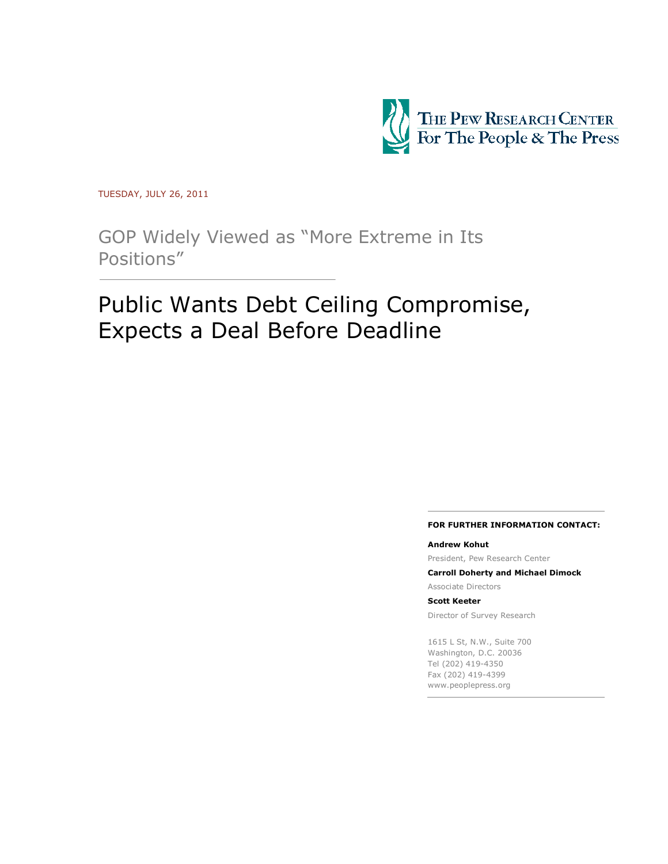

TUESDAY, JULY 26, 2011

GOP Widely Viewed as "More Extreme in Its Positions"

# Public Wants Debt Ceiling Compromise, Expects a Deal Before Deadline

#### **FOR FURTHER INFORMATION CONTACT:**

#### **Andrew Kohut**

President, Pew Research Center

**Carroll Doherty and Michael Dimock**

Associate Directors

**Scott Keeter**

Director of Survey Research

1615 L St, N.W., Suite 700 Washington, D.C. 20036 Tel (202) 419-4350 Fax (202) 419-4399 www.peoplepress.org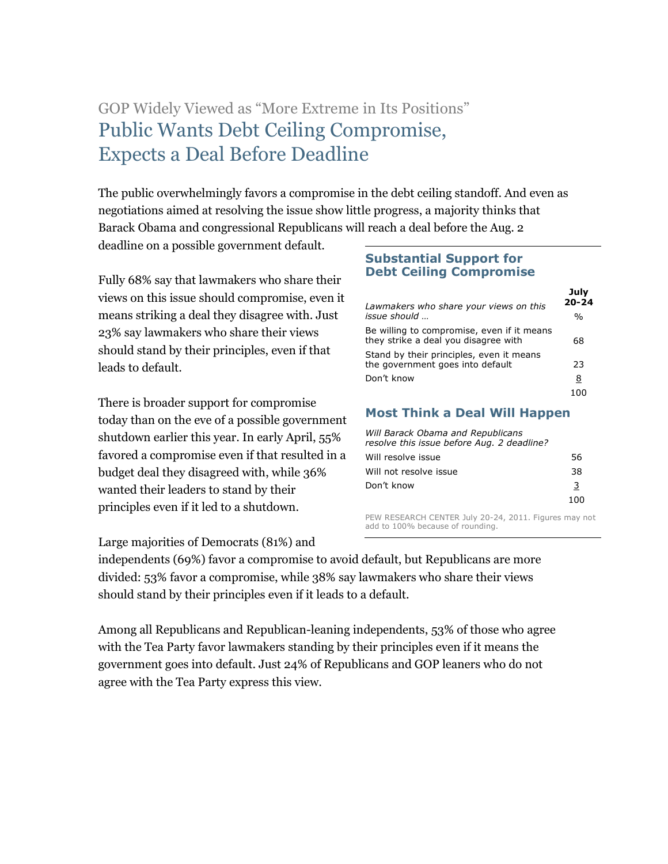# GOP Widely Viewed as "More Extreme in Its Positions" Public Wants Debt Ceiling Compromise, Expects a Deal Before Deadline

The public overwhelmingly favors a compromise in the debt ceiling standoff. And even as negotiations aimed at resolving the issue show little progress, a majority thinks that Barack Obama and congressional Republicans will reach a deal before the Aug. 2

deadline on a possible government default.

Fully 68% say that lawmakers who share their views on this issue should compromise, even it means striking a deal they disagree with. Just 23% say lawmakers who share their views should stand by their principles, even if that leads to default.

There is broader support for compromise today than on the eve of a possible government shutdown earlier this year. In early April, 55% favored a compromise even if that resulted in a budget deal they disagreed with, while 36% wanted their leaders to stand by their principles even if it led to a shutdown.

Large majorities of Democrats (81%) and

# **Substantial Support for Debt Ceiling Compromise**

| Lawmakers who share your views on this                                             | July<br>$20 - 24$ |
|------------------------------------------------------------------------------------|-------------------|
| issue should                                                                       | $\frac{0}{0}$     |
| Be willing to compromise, even if it means<br>they strike a deal you disagree with | 68                |
| Stand by their principles, even it means<br>the government goes into default       | 23                |
| Don't know                                                                         | 8                 |
|                                                                                    |                   |

# **Most Think a Deal Will Happen**

| Will Barack Obama and Republicans<br>resolve this issue before Aug. 2 deadline? |     |
|---------------------------------------------------------------------------------|-----|
| Will resolve issue                                                              | 56  |
| Will not resolve issue                                                          | 38  |
| Don't know                                                                      | 3   |
|                                                                                 | 100 |

PEW RESEARCH CENTER July 20-24, 2011. Figures may not add to 100% because of rounding.

independents (69%) favor a compromise to avoid default, but Republicans are more divided: 53% favor a compromise, while 38% say lawmakers who share their views should stand by their principles even if it leads to a default.

Among all Republicans and Republican-leaning independents, 53% of those who agree with the Tea Party favor lawmakers standing by their principles even if it means the government goes into default. Just 24% of Republicans and GOP leaners who do not agree with the Tea Party express this view.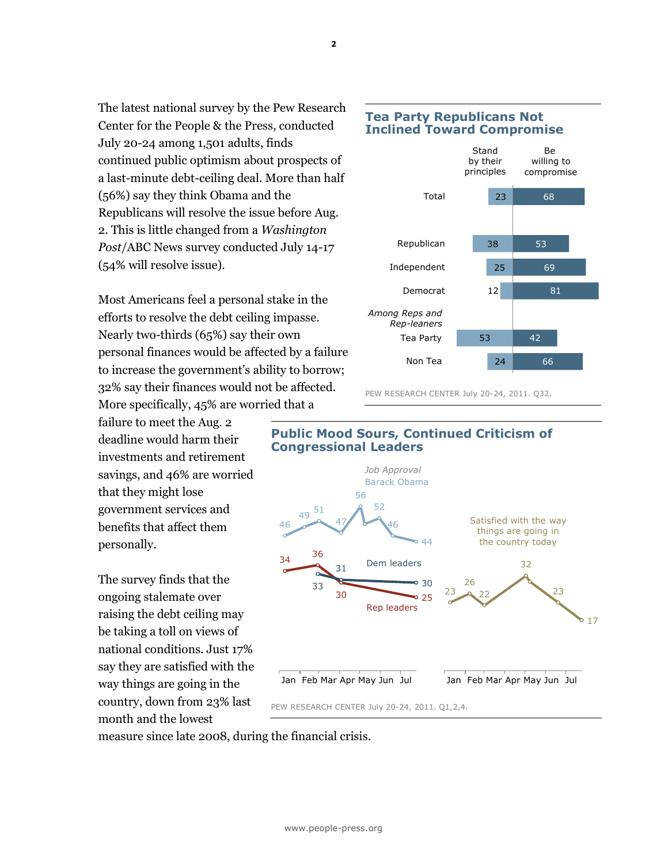The latest national survey by the Pew Research Center for the People & the Press, conducted July 20-24 among 1,501 adults, finds continued public optimism about prospects of a last-minute debt-ceiling deal. More than half (56%) say they think Obama and the Republicans will resolve the issue before Aug. 2. This is little changed from a *Washington Post*/ABC News survey conducted July 14-17 (54% will resolve issue).

Most Americans feel a personal stake in the efforts to resolve the debt ceiling impasse. Nearly two-thirds (65%) say their own personal finances would be affected by a failure to increase the government's ability to borrow; 32% say their finances would not be affected. More specifically, 45% are worried that a

failure to meet the Aug. 2 deadline would harm their investments and retirement savings, and 46% are worried that they might lose government services and benefits that affect them personally.

The survey finds that the ongoing stalemate over raising the debt ceiling may be taking a toll on views of national conditions. Just 17% say they are satisfied with the way things are going in the country, down from 23% last month and the lowest

# **Tea Party Republicans Not Inclined Toward Compromise**



PEW RESEARCH CENTER July 20-24, 2011. Q32.

# **Public Mood Sours, Continued Criticism of Congressional Leaders**



measure since late 2008, during the financial crisis.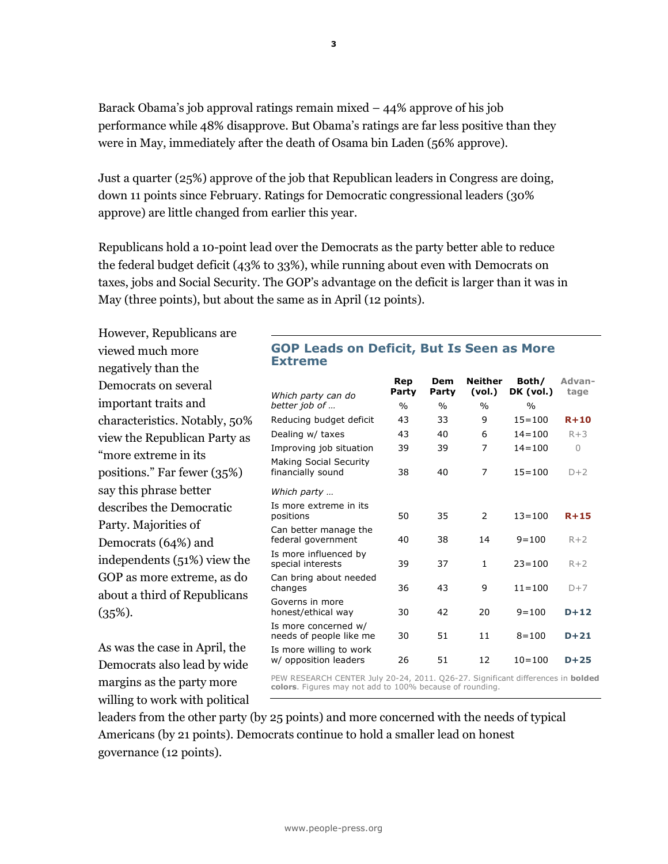Barack Obama's job approval ratings remain mixed  $-44\%$  approve of his job performance while 48% disapprove. But Obama's ratings are far less positive than they were in May, immediately after the death of Osama bin Laden (56% approve).

Just a quarter (25%) approve of the job that Republican leaders in Congress are doing, down 11 points since February. Ratings for Democratic congressional leaders (30% approve) are little changed from earlier this year.

Republicans hold a 10-point lead over the Democrats as the party better able to reduce the federal budget deficit (43% to 33%), while running about even with Democrats on taxes, jobs and Social Security. The GOP's advantage on the deficit is larger than it was in May (three points), but about the same as in April (12 points).

However, Republicans are viewed much more negatively than the Democrats on several important traits and characteristics. Notably, 50% view the Republican Party as "more extreme in its positions." Far fewer (35%) say this phrase better describes the Democratic Party. Majorities of Democrats (64%) and independents (51%) view the GOP as more extreme, as do about a third of Republicans  $(35\%)$ .

As was the case in April, the Democrats also lead by wide margins as the party more willing to work with political

# **GOP Leads on Deficit, But Is Seen as More Extreme**

| Which party can do                               | Rep<br>Party  | Dem<br>Party  | <b>Neither</b><br>(vol.) | Both/<br>DK (vol.) | Advan-<br>tage |
|--------------------------------------------------|---------------|---------------|--------------------------|--------------------|----------------|
| better job of                                    | $\frac{0}{0}$ | $\frac{0}{0}$ | $\frac{0}{0}$            | $\frac{0}{0}$      |                |
| Reducing budget deficit                          | 43            | 33            | 9                        | $15 = 100$         | $R+10$         |
| Dealing w/ taxes                                 | 43            | 40            | 6                        | $14 = 100$         | $R+3$          |
| Improving job situation                          | 39            | 39            | 7                        | $14 = 100$         | 0              |
| Making Social Security<br>financially sound      | 38            | 40            | 7                        | $15 = 100$         | $D+2$          |
| Which party                                      |               |               |                          |                    |                |
| Is more extreme in its<br>positions              | 50            | 35            | $\mathcal{P}$            | $13 = 100$         | $R+15$         |
| Can better manage the<br>federal government      | 40            | 38            | 14                       | $9 = 100$          | $R+2$          |
| Is more influenced by<br>special interests       | 39            | 37            | $\mathbf{1}$             | $23 = 100$         | $R+2$          |
| Can bring about needed<br>changes                | 36            | 43            | 9                        | $11 = 100$         | $D+7$          |
| Governs in more<br>honest/ethical way            | 30            | 42            | 20                       | $9 = 100$          | $D+12$         |
| Is more concerned w/<br>needs of people like me  | 30            | 51            | 11                       | $8 = 100$          | $D+21$         |
| Is more willing to work<br>w/ opposition leaders | 26            | 51            | 12                       | $10 = 100$         | $D+25$         |

PEW RESEARCH CENTER July 20-24, 2011. Q26-27. Significant differences in **bolded colors**. Figures may not add to 100% because of rounding.

leaders from the other party (by 25 points) and more concerned with the needs of typical Americans (by 21 points). Democrats continue to hold a smaller lead on honest governance (12 points).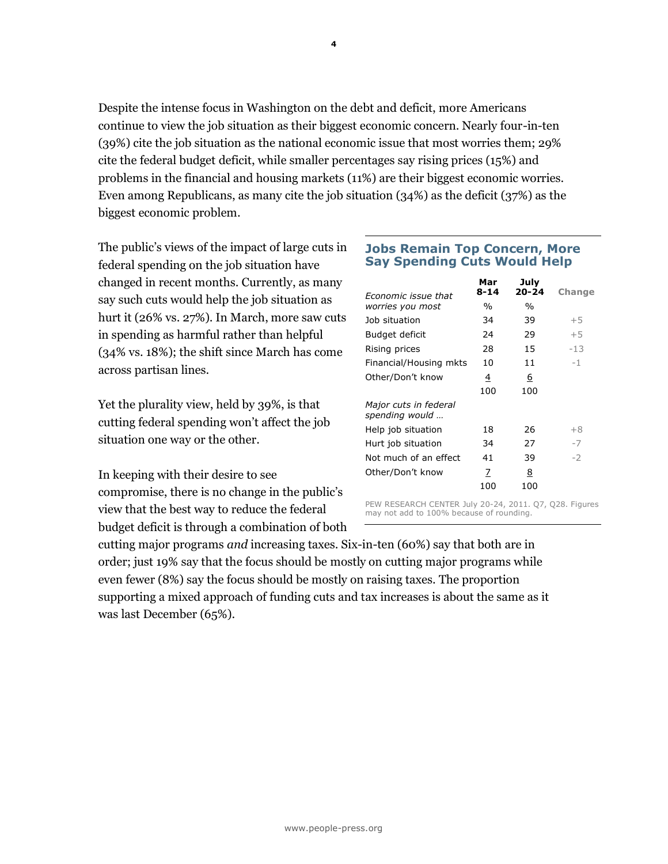Despite the intense focus in Washington on the debt and deficit, more Americans continue to view the job situation as their biggest economic concern. Nearly four-in-ten (39%) cite the job situation as the national economic issue that most worries them; 29% cite the federal budget deficit, while smaller percentages say rising prices (15%) and problems in the financial and housing markets (11%) are their biggest economic worries. Even among Republicans, as many cite the job situation (34%) as the deficit (37%) as the biggest economic problem.

The public's views of the impact of large cuts in federal spending on the job situation have changed in recent months. Currently, as many say such cuts would help the job situation as hurt it (26% vs. 27%). In March, more saw cuts in spending as harmful rather than helpful (34% vs. 18%); the shift since March has come across partisan lines.

Yet the plurality view, held by 39%, is that cutting federal spending won't affect the job situation one way or the other.

In keeping with their desire to see compromise, there is no change in the public's view that the best way to reduce the federal budget deficit is through a combination of both

# **Jobs Remain Top Concern, More Say Spending Cuts Would Help**

| <i><b>Fronomic issue that</b></i>       | Mar<br>$8 - 14$ | July<br>$20 - 24$ | Change |
|-----------------------------------------|-----------------|-------------------|--------|
| worries you most                        | %               | $\%$              |        |
| Job situation                           | 34              | 39                | $+5$   |
| Budget deficit                          | 24              | 29                | $+5$   |
| Rising prices                           | 28              | 15                | $-1.3$ |
| Financial/Housing mkts                  | 10              | 11                | $-1$   |
| Other/Don't know                        | 4               | 6                 |        |
|                                         | 100             | 100               |        |
| Major cuts in federal<br>spending would |                 |                   |        |
| Help job situation                      | 18              | 26                | $+8$   |
| Hurt job situation                      | 34              | 27                | -7     |
| Not much of an effect                   | 41              | 39                | $-2$   |
| Other/Don't know                        | 7               | 8                 |        |
|                                         | 100             | 100               |        |

PEW RESEARCH CENTER July 20-24, 2011. Q7, Q28. Figures may not add to 100% because of rounding.

cutting major programs *and* increasing taxes. Six-in-ten (60%) say that both are in order; just 19% say that the focus should be mostly on cutting major programs while even fewer (8%) say the focus should be mostly on raising taxes. The proportion supporting a mixed approach of funding cuts and tax increases is about the same as it was last December (65%).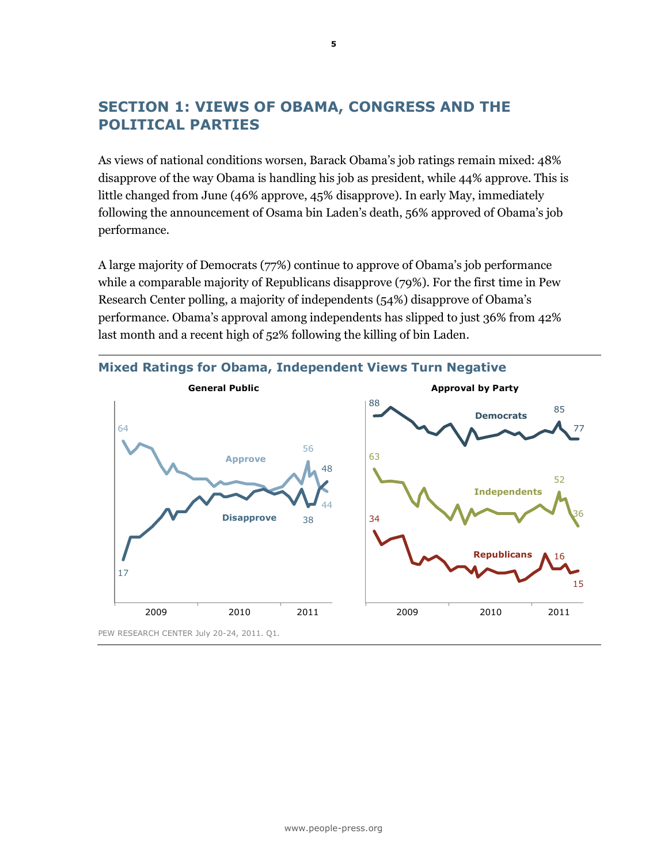# **SECTION 1: VIEWS OF OBAMA, CONGRESS AND THE POLITICAL PARTIES**

As views of national conditions worsen, Barack Obama's job ratings remain mixed: 48% disapprove of the way Obama is handling his job as president, while 44% approve. This is little changed from June (46% approve, 45% disapprove). In early May, immediately following the announcement of Osama bin Laden's death, 56% approved of Obama's job performance.

A large majority of Democrats (77%) continue to approve of Obama's job performance while a comparable majority of Republicans disapprove (79%). For the first time in Pew Research Center polling, a majority of independents (54%) disapprove of Obama's performance. Obama's approval among independents has slipped to just 36% from 42% last month and a recent high of 52% following the killing of bin Laden.

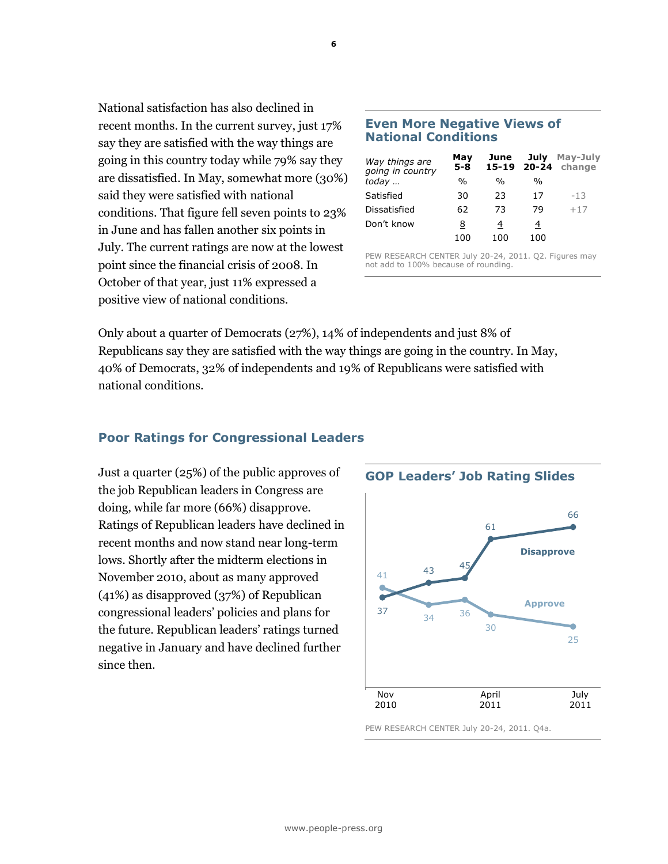National satisfaction has also declined in recent months. In the current survey, just 17% say they are satisfied with the way things are going in this country today while 79% say they are dissatisfied. In May, somewhat more (30%) said they were satisfied with national conditions. That figure fell seven points to 23% in June and has fallen another six points in July. The current ratings are now at the lowest point since the financial crisis of 2008. In October of that year, just 11% expressed a positive view of national conditions.

## **Even More Negative Views of National Conditions**

| Way things are<br>going in country | May<br>$5 - 8$ | June          |               | July May-July<br>15-19 20-24 change |
|------------------------------------|----------------|---------------|---------------|-------------------------------------|
| today                              | $\frac{0}{0}$  | $\frac{0}{0}$ | $\frac{0}{0}$ |                                     |
| Satisfied                          | 30             | 23            | 17            | $-1.3$                              |
| Dissatisfied                       | 62             | 73            | 79            | $+17$                               |
| Don't know                         | 8              | 4             | 4             |                                     |
|                                    | 100            | 100           | 100           |                                     |

PEW RESEARCH CENTER July 20-24, 2011. Q2. Figures may not add to 100% because of rounding.

Only about a quarter of Democrats (27%), 14% of independents and just 8% of Republicans say they are satisfied with the way things are going in the country. In May, 40% of Democrats, 32% of independents and 19% of Republicans were satisfied with national conditions.

# **Poor Ratings for Congressional Leaders**

Just a quarter (25%) of the public approves of the job Republican leaders in Congress are doing, while far more (66%) disapprove. Ratings of Republican leaders have declined in recent months and now stand near long-term lows. Shortly after the midterm elections in November 2010, about as many approved (41%) as disapproved (37%) of Republican congressional leaders' policies and plans for the future. Republican leaders' ratings turned negative in January and have declined further since then.



PEW RESEARCH CENTER July 20-24, 2011. Q4a.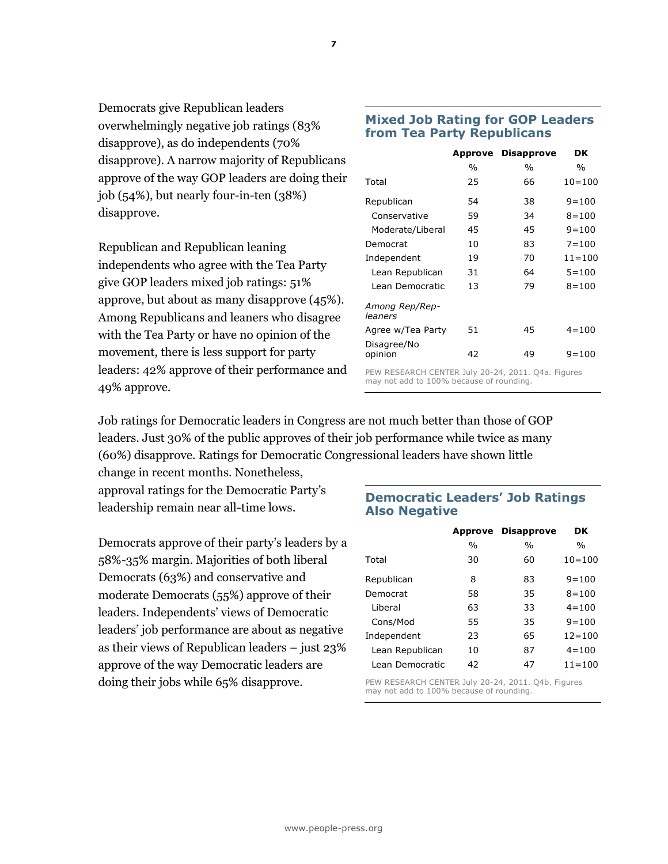Democrats give Republican leaders overwhelmingly negative job ratings (83% disapprove), as do independents (70% disapprove). A narrow majority of Republicans approve of the way GOP leaders are doing their job (54%), but nearly four-in-ten (38%) disapprove.

Republican and Republican leaning independents who agree with the Tea Party give GOP leaders mixed job ratings: 51% approve, but about as many disapprove (45%). Among Republicans and leaners who disagree with the Tea Party or have no opinion of the movement, there is less support for party leaders: 42% approve of their performance and 49% approve.

# **Mixed Job Rating for GOP Leaders from Tea Party Republicans**

|                                                 | Approve | <b>Disapprove</b> | DK            |
|-------------------------------------------------|---------|-------------------|---------------|
|                                                 | $\%$    | $\%$              | $\frac{0}{0}$ |
| Total                                           | 25      | 66                | $10 = 100$    |
| Republican                                      | 54      | 38                | $9 = 100$     |
| Conservative                                    | 59      | 34                | $8 = 100$     |
| Moderate/Liberal                                | 45      | 45                | $9 = 100$     |
| Democrat                                        | 10      | 83                | $7 = 100$     |
| Independent                                     | 19      | 70                | $11 = 100$    |
| Lean Republican                                 | 31      | 64                | $5 = 100$     |
| Lean Democratic                                 | 13      | 79                | $8 = 100$     |
| Among Rep/Rep-<br>leaners                       |         |                   |               |
| Agree w/Tea Party                               | 51      | 45                | $4 = 100$     |
| Disagree/No<br>opinion                          | 42      | 49                | $9 = 100$     |
| DEM BECEARCH CENTER 1.1. 20 24 2011 OAS Figures |         |                   |               |

PEW RESEARCH CENTER July 20-24, 2011. Q4a. Figures may not add to 100% because of rounding.

Job ratings for Democratic leaders in Congress are not much better than those of GOP leaders. Just 30% of the public approves of their job performance while twice as many (60%) disapprove. Ratings for Democratic Congressional leaders have shown little

change in recent months. Nonetheless, approval ratings for the Democratic Party's leadership remain near all-time lows.

Democrats approve of their party's leaders by a 58%-35% margin. Majorities of both liberal Democrats (63%) and conservative and moderate Democrats (55%) approve of their leaders. Independents' views of Democratic leaders' job performance are about as negative as their views of Republican leaders – just 23% approve of the way Democratic leaders are doing their jobs while 65% disapprove.

# **Democratic Leaders' Job Ratings Also Negative**

| Approve |               | DK                |
|---------|---------------|-------------------|
| $\%$    | $\frac{0}{0}$ | $\%$              |
| 30      | 60            | $10 = 100$        |
| 8       | 83            | $9 = 100$         |
| 58      | 35            | $8 = 100$         |
| 63      | 33            | $4 = 100$         |
| 55      | 35            | $9 = 100$         |
| 23      | 65            | $12 = 100$        |
| 10      | 87            | $4 = 100$         |
| 42      | 47            | $11 = 100$        |
|         |               | <b>Disapprove</b> |

PEW RESEARCH CENTER July 20-24, 2011. Q4b. Figures may not add to 100% because of rounding.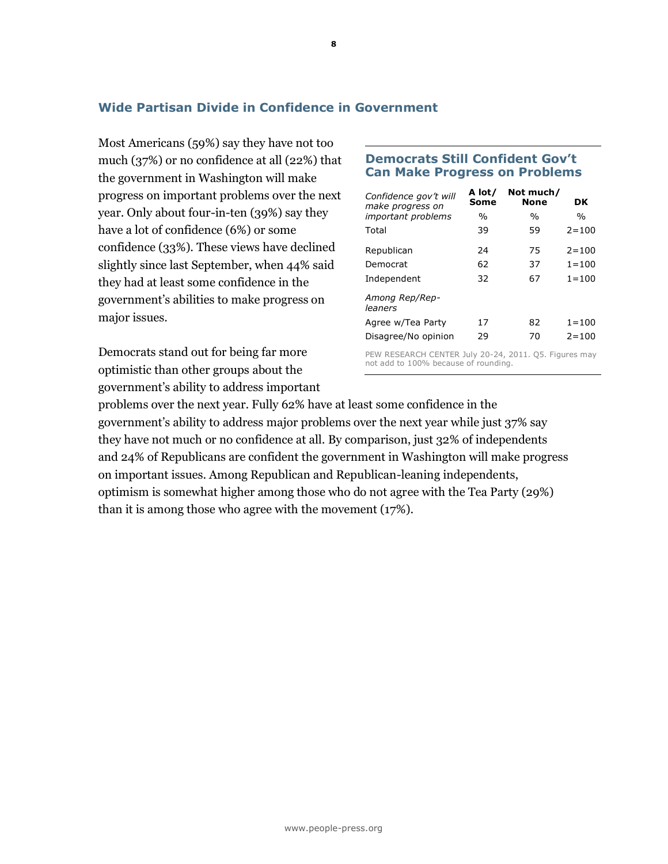# **Wide Partisan Divide in Confidence in Government**

Most Americans (59%) say they have not too much (37%) or no confidence at all (22%) that the government in Washington will make progress on important problems over the next year. Only about four-in-ten (39%) say they have a lot of confidence (6%) or some confidence (33%). These views have declined slightly since last September, when 44% said they had at least some confidence in the government's abilities to make progress on major issues.

Democrats stand out for being far more optimistic than other groups about the government's ability to address important

# **Democrats Still Confident Gov't Can Make Progress on Problems**

| Confidence gov't will<br>make progress on | A lot/<br>Some | Not much/<br><b>None</b>                                                                      | DK        |
|-------------------------------------------|----------------|-----------------------------------------------------------------------------------------------|-----------|
| <i>important problems</i>                 | $\%$           | $\frac{0}{0}$                                                                                 | $\%$      |
| Total                                     | 39             | 59                                                                                            | $2 = 100$ |
| Republican                                | 24             | 75                                                                                            | $2 = 100$ |
| Democrat                                  | 62             | 37                                                                                            | $1 = 100$ |
| Independent                               | 32             | 67                                                                                            | $1 = 100$ |
| Among Rep/Rep-<br>leaners                 |                |                                                                                               |           |
| Agree w/Tea Party                         | 17             | 82                                                                                            | $1 = 100$ |
| Disagree/No opinion                       | 29             | 70                                                                                            | $2 = 100$ |
| DEW BECEARCH CENTER 1.1., 30 34           |                | $20111 \quad \text{or} \quad \text{F}^{\text{1}} \text{arrows} \text{or} \text{or} \text{or}$ |           |

PEW RESEARCH CENTER July 20-24, 2011. Q5. Figures may not add to 100% because of rounding.

problems over the next year. Fully 62% have at least some confidence in the government's ability to address major problems over the next year while just 37% say they have not much or no confidence at all. By comparison, just 32% of independents and 24% of Republicans are confident the government in Washington will make progress on important issues. Among Republican and Republican-leaning independents, optimism is somewhat higher among those who do not agree with the Tea Party (29%) than it is among those who agree with the movement (17%).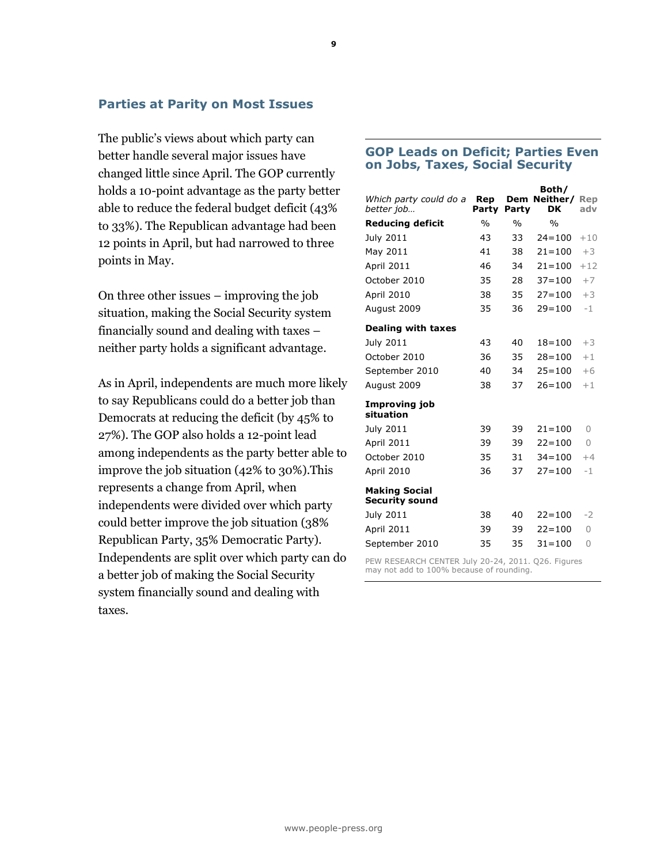## **Parties at Parity on Most Issues**

The public's views about which party can better handle several major issues have changed little since April. The GOP currently holds a 10-point advantage as the party better able to reduce the federal budget deficit (43% to 33%). The Republican advantage had been 12 points in April, but had narrowed to three points in May.

On three other issues – improving the job situation, making the Social Security system financially sound and dealing with taxes – neither party holds a significant advantage.

As in April, independents are much more likely to say Republicans could do a better job than Democrats at reducing the deficit (by 45% to 27%). The GOP also holds a 12-point lead among independents as the party better able to improve the job situation (42% to 30%).This represents a change from April, when independents were divided over which party could better improve the job situation (38% Republican Party, 35% Democratic Party). Independents are split over which party can do a better job of making the Social Security system financially sound and dealing with taxes.

## **GOP Leads on Deficit; Parties Even on Jobs, Taxes, Social Security**

| Which party could do a<br>better job          | Rep<br>Party  | Party         | Both/<br>Dem Neither/<br>DK | Rep<br>adv |
|-----------------------------------------------|---------------|---------------|-----------------------------|------------|
| <b>Reducing deficit</b>                       | $\frac{0}{0}$ | $\frac{0}{0}$ | $\frac{0}{0}$               |            |
| July 2011                                     | 43            | 33            | $24 = 100$                  | $+10$      |
| May 2011                                      | 41            | 38            | $21 = 100$                  | $+3$       |
| <b>April 2011</b>                             | 46            | 34            | $21 = 100$                  | $+12$      |
| October 2010                                  | 35            | 28            | $37 = 100$                  | $+7$       |
| April 2010                                    | 38            | 35            | $27 = 100$                  | $+3$       |
| August 2009                                   | 35            | 36            | $29 = 100$                  | $-1$       |
| <b>Dealing with taxes</b>                     |               |               |                             |            |
| July 2011                                     | 43            | 40            | $18 = 100$                  | $+3$       |
| October 2010                                  | 36            | 35            | $28 = 100$                  | $+1$       |
| September 2010                                | 40            | 34            | $25 = 100$                  | $+6$       |
| August 2009                                   | 38            | 37            | $26 = 100$                  | $+1$       |
| Improving job<br>situation                    |               |               |                             |            |
| July 2011                                     | 39            | 39            | $21 = 100$                  | $\bigcap$  |
| <b>April 2011</b>                             | 39            | 39            | $22 = 100$                  | $\bigcap$  |
| October 2010                                  | 35            | 31            | $34 = 100$                  | $+4$       |
| April 2010                                    | 36            | 37            | $27 = 100$                  | $-1$       |
| <b>Making Social</b><br><b>Security sound</b> |               |               |                             |            |
| July 2011                                     | 38            | 40            | $22 = 100$                  | $-2$       |
| <b>April 2011</b>                             | 39            | 39            | $22 = 100$                  | $\Omega$   |
| September 2010                                | 35            | 35            | $31 = 100$                  | 0          |

PEW RESEARCH CENTER July 20-24, 2011. Q26. Figures may not add to 100% because of rounding.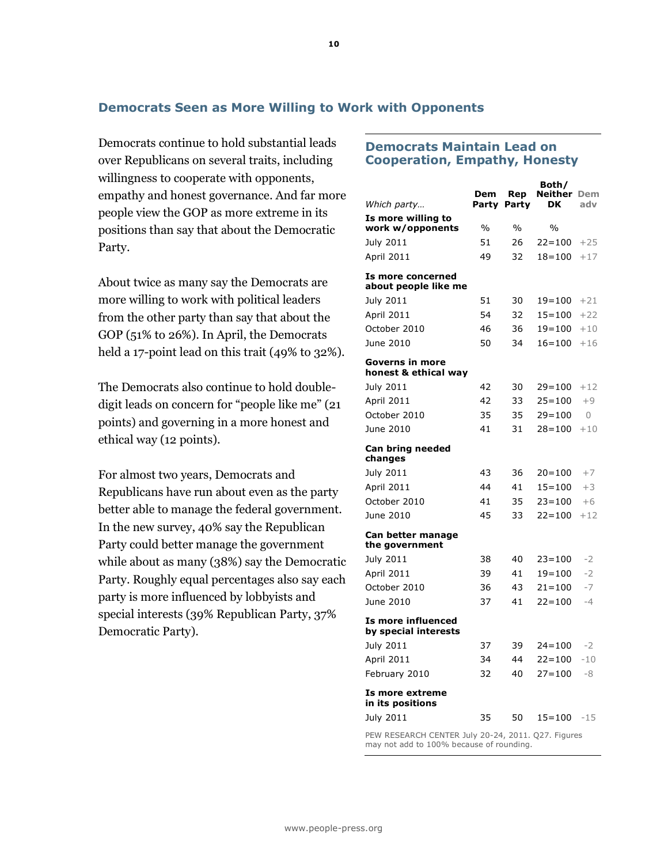# **Democrats Seen as More Willing to Work with Opponents**

Democrats continue to hold substantial leads over Republicans on several traits, including willingness to cooperate with opponents, empathy and honest governance. And far more people view the GOP as more extreme in its positions than say that about the Democratic Party.

About twice as many say the Democrats are more willing to work with political leaders from the other party than say that about the GOP (51% to 26%). In April, the Democrats held a 17-point lead on this trait (49% to 32%).

The Democrats also continue to hold doubledigit leads on concern for "people like me" (21 points) and governing in a more honest and ethical way (12 points).

For almost two years, Democrats and Republicans have run about even as the party better able to manage the federal government. In the new survey, 40% say the Republican Party could better manage the government while about as many (38%) say the Democratic Party. Roughly equal percentages also say each party is more influenced by lobbyists and special interests (39% Republican Party, 37% Democratic Party).

## **Democrats Maintain Lead on Cooperation, Empathy, Honesty**

| Which party                                | Dem<br>Party                                                                                   | Rep<br>Party        | Both/<br>Neither<br>DK | Dem<br>adv     |  |
|--------------------------------------------|------------------------------------------------------------------------------------------------|---------------------|------------------------|----------------|--|
| Is more willing to                         |                                                                                                |                     |                        |                |  |
| work w/opponents                           | %<br>51                                                                                        | $\frac{0}{0}$<br>26 | $\%$<br>$22 = 100$     |                |  |
| July 2011<br>April 2011                    | 49                                                                                             | 32                  | $18 = 100$             | $+25$<br>$+17$ |  |
|                                            |                                                                                                |                     |                        |                |  |
| Is more concerned<br>about people like me  |                                                                                                |                     |                        |                |  |
| July 2011                                  | 51                                                                                             | 30                  | $19 = 100$             | $+21$          |  |
| April 2011                                 | 54                                                                                             | 32                  | $15 = 100$             | $+22$          |  |
| October 2010                               | 46                                                                                             | 36                  | $19 = 100$             | $+10$          |  |
| June 2010                                  | 50                                                                                             | 34                  | $16 = 100$             | $+16$          |  |
| Governs in more                            |                                                                                                |                     |                        |                |  |
| honest & ethical way<br>July 2011          | 42                                                                                             | 30                  | $29 = 100$             | $+12$          |  |
| April 2011                                 | 42                                                                                             | 33                  | $25 = 100$             | $+9$           |  |
| October 2010                               | 35                                                                                             | 35                  | $29 = 100$             | $\Omega$       |  |
| June 2010                                  | 41                                                                                             | 31                  | $28 = 100$             | $+10$          |  |
|                                            |                                                                                                |                     |                        |                |  |
| Can bring needed<br>changes                |                                                                                                |                     |                        |                |  |
| July 2011                                  | 43                                                                                             | 36                  | $20 = 100$             | $+7$           |  |
| <b>April 2011</b>                          | 44                                                                                             | 41                  | $15 = 100$             | $+3$           |  |
| October 2010                               | 41                                                                                             | 35                  | $23 = 100$             | $+6$           |  |
| June 2010                                  | 45                                                                                             | 33                  | $22 = 100$             | $+12$          |  |
| Can better manage<br>the government        |                                                                                                |                     |                        |                |  |
| July 2011                                  | 38                                                                                             | 40                  | $23 = 100$             | $-2$           |  |
| April 2011                                 | 39                                                                                             | 41                  | $19 = 100$             | $-2$           |  |
| October 2010                               | 36                                                                                             | 43                  | $21 = 100$             | -7             |  |
| June 2010                                  | 37                                                                                             | 41                  | $22 = 100$             | $-4$           |  |
| Is more influenced<br>by special interests |                                                                                                |                     |                        |                |  |
| July 2011                                  | 37                                                                                             | 39                  | $24 = 100$             | $-2$           |  |
| April 2011                                 | 34                                                                                             | 44                  | $22 = 100$             | $-10$          |  |
| February 2010                              | 32                                                                                             | 40                  | $27 = 100$             | -8             |  |
| Is more extreme<br>in its positions        |                                                                                                |                     |                        |                |  |
| July 2011                                  | 35                                                                                             | 50                  | $15 = 100$             | $-15$          |  |
|                                            | PEW RESEARCH CENTER July 20-24, 2011. Q27. Figures<br>may not add to 100% because of rounding. |                     |                        |                |  |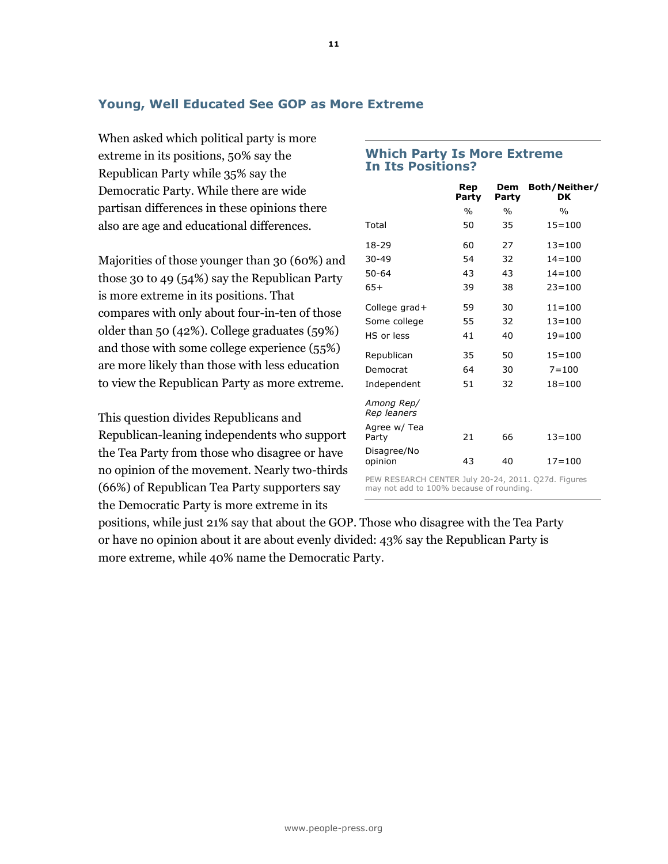# **Young, Well Educated See GOP as More Extreme**

When asked which political party is more extreme in its positions, 50% say the Republican Party while 35% say the Democratic Party. While there are wide partisan differences in these opinions there also are age and educational differences.

Majorities of those younger than 30 (60%) and those 30 to 49 (54%) say the Republican Party is more extreme in its positions. That compares with only about four-in-ten of those older than 50 (42%). College graduates (59%) and those with some college experience (55%) are more likely than those with less education to view the Republican Party as more extreme.

This question divides Republicans and Republican-leaning independents who support the Tea Party from those who disagree or have no opinion of the movement. Nearly two-thirds (66%) of Republican Tea Party supporters say the Democratic Party is more extreme in its

|                           | Rep<br>Party  | Dem<br>Party  | Both/Neither/<br>DK |
|---------------------------|---------------|---------------|---------------------|
|                           | $\frac{0}{0}$ | $\frac{0}{0}$ | $\frac{0}{0}$       |
| Total                     | 50            | 35            | $15 = 100$          |
| 18-29                     | 60            | 27            | $13 = 100$          |
| $30 - 49$                 | 54            | 32            | $14 = 100$          |
| $50 - 64$                 | 43            | 43            | $14 = 100$          |
| $65+$                     | 39            | 38            | $23 = 100$          |
| College grad+             | 59            | 30            | $11 = 100$          |
| Some college              | 55            | 32            | $13 = 100$          |
| HS or less                | 41            | 40            | $19 = 100$          |
| Republican                | 35            | 50            | $15 = 100$          |
| Democrat                  | 64            | 30            | $7 = 100$           |
| Independent               | 51            | 32            | $18 = 100$          |
| Among Rep/<br>Rep leaners |               |               |                     |
| Agree w/ Tea<br>Party     | 21            | 66            | $13 = 100$          |
| Disagree/No<br>opinion    | 43            | 40            | $17 = 100$          |
|                           |               |               |                     |

PEW RESEARCH CENTER July 20-24, 2011. Q27d. Figures may not add to 100% because of rounding.

positions, while just 21% say that about the GOP. Those who disagree with the Tea Party or have no opinion about it are about evenly divided: 43% say the Republican Party is more extreme, while 40% name the Democratic Party.

## **Which Party Is More Extreme In Its Positions?**

**11**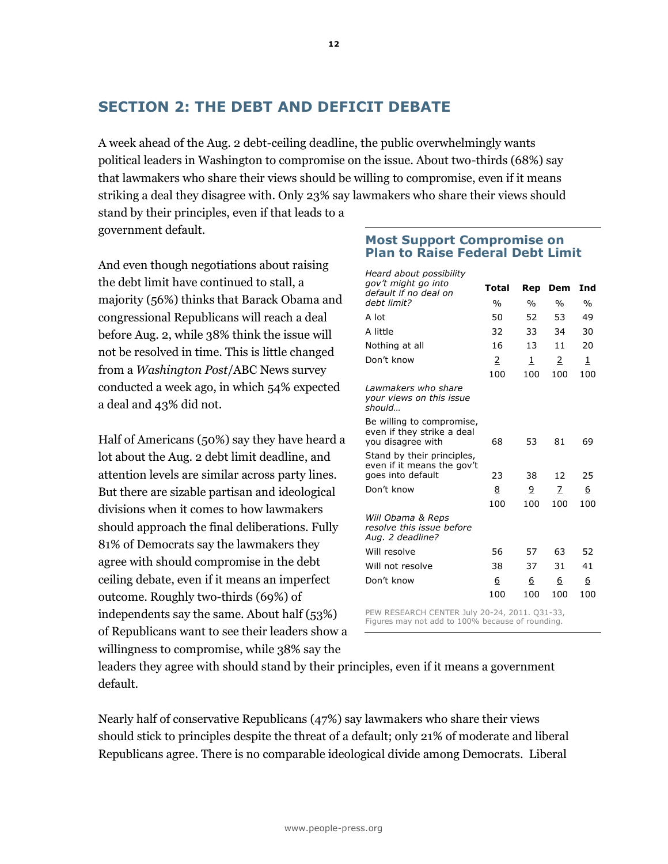# **SECTION 2: THE DEBT AND DEFICIT DEBATE**

A week ahead of the Aug. 2 debt-ceiling deadline, the public overwhelmingly wants political leaders in Washington to compromise on the issue. About two-thirds (68%) say that lawmakers who share their views should be willing to compromise, even if it means striking a deal they disagree with. Only 23% say lawmakers who share their views should stand by their principles, even if that leads to a

government default.

And even though negotiations about raising the debt limit have continued to stall, a majority (56%) thinks that Barack Obama and congressional Republicans will reach a deal before Aug. 2, while 38% think the issue will not be resolved in time. This is little changed from a *Washington Post*/ABC News survey conducted a week ago, in which 54% expected a deal and 43% did not.

Half of Americans (50%) say they have heard a lot about the Aug. 2 debt limit deadline, and attention levels are similar across party lines. But there are sizable partisan and ideological divisions when it comes to how lawmakers should approach the final deliberations. Fully 81% of Democrats say the lawmakers they agree with should compromise in the debt ceiling debate, even if it means an imperfect outcome. Roughly two-thirds (69%) of independents say the same. About half (53%) of Republicans want to see their leaders show a willingness to compromise, while 38% say the

## **Most Support Compromise on Plan to Raise Federal Debt Limit**

| Heard about possibility                                                       |               |               |               |               |
|-------------------------------------------------------------------------------|---------------|---------------|---------------|---------------|
| gov't might go into<br>default if no deal on                                  | Total         | Rep           | Dem           | Ind           |
| debt limit?                                                                   | $\frac{0}{0}$ | $\frac{0}{0}$ | $\frac{0}{0}$ | $\frac{0}{0}$ |
| A lot                                                                         | 50            | 52            | 53            | 49            |
| A little                                                                      | 32            | 33            | 34            | 30            |
| Nothing at all                                                                | 16            | 13            | 11            | 20            |
| Don't know                                                                    | 2             | 1             | 2             | 1             |
|                                                                               | 100           | 100           | 100           | 100           |
| Lawmakers who share<br>your views on this issue<br>should                     |               |               |               |               |
| Be willing to compromise,<br>even if they strike a deal<br>you disagree with  | 68            | 53            | 81            | 69            |
| Stand by their principles,<br>even if it means the gov't<br>goes into default | 23            | 38            | 12            | 25            |
| Don't know                                                                    | 8             | 9             | 7             | 6             |
|                                                                               | 100           | 100           | 100           | 100           |
| Will Obama & Reps<br>resolve this issue before<br>Aug. 2 deadline?            |               |               |               |               |
| Will resolve                                                                  | 56            | 57            | 63            | 52            |
| Will not resolve                                                              | 38            | 37            | 31            | 41            |
| Don't know                                                                    | 6             | 6             | 6             | 6             |
|                                                                               | 100           | 100           | 100           | 100           |
|                                                                               |               |               |               |               |

PEW RESEARCH CENTER July 20-24, 2011. Q31-33, Figures may not add to 100% because of rounding.

leaders they agree with should stand by their principles, even if it means a government default.

Nearly half of conservative Republicans (47%) say lawmakers who share their views should stick to principles despite the threat of a default; only 21% of moderate and liberal Republicans agree. There is no comparable ideological divide among Democrats. Liberal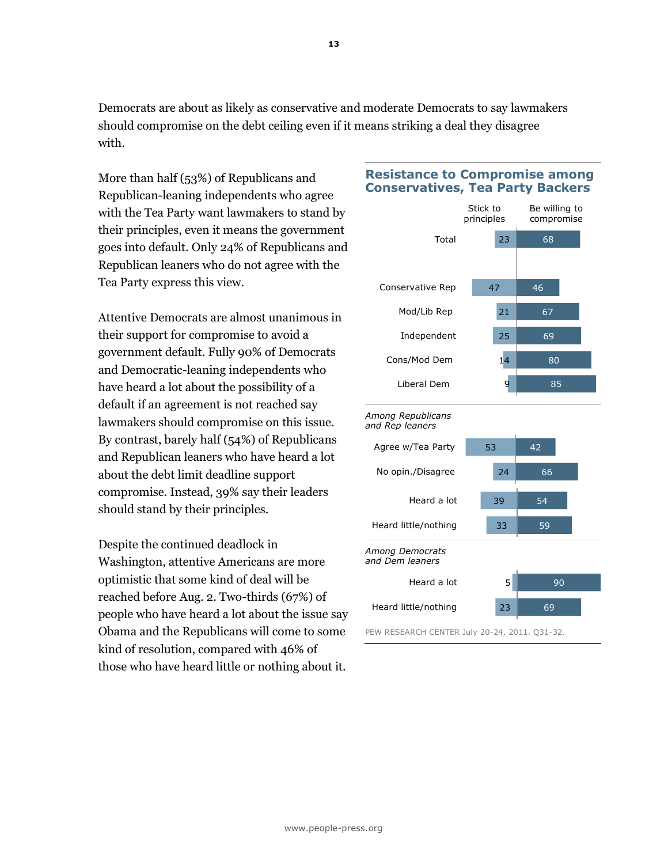Democrats are about as likely as conservative and moderate Democrats to say lawmakers should compromise on the debt ceiling even if it means striking a deal they disagree with.

More than half (53%) of Republicans and Republican-leaning independents who agree with the Tea Party want lawmakers to stand by their principles, even it means the government goes into default. Only 24% of Republicans and Republican leaners who do not agree with the Tea Party express this view.

Attentive Democrats are almost unanimous in their support for compromise to avoid a government default. Fully 90% of Democrats and Democratic-leaning independents who have heard a lot about the possibility of a default if an agreement is not reached say lawmakers should compromise on this issue. By contrast, barely half (54%) of Republicans and Republican leaners who have heard a lot about the debt limit deadline support compromise. Instead, 39% say their leaders should stand by their principles.

Despite the continued deadlock in Washington, attentive Americans are more optimistic that some kind of deal will be reached before Aug. 2. Two-thirds (67%) of people who have heard a lot about the issue say Obama and the Republicans will come to some kind of resolution, compared with 46% of those who have heard little or nothing about it.

# **Resistance to Compromise among Conservatives, Tea Party Backers**







PEW RESEARCH CENTER July 20-24, 2011. Q31-32.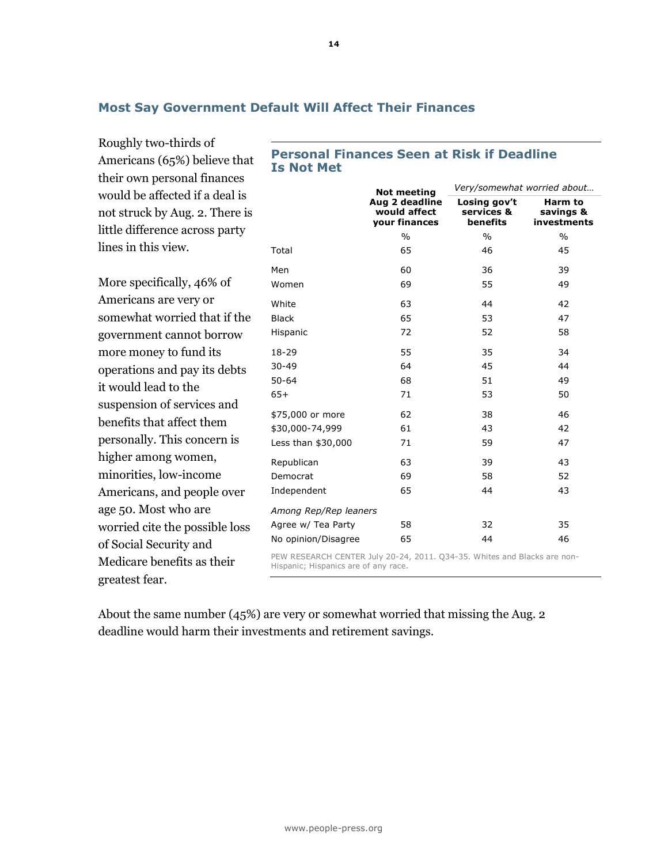# **Most Say Government Default Will Affect Their Finances**

Roughly two-thirds of Americans (65%) believe that their own personal finances would be affected if a deal is not struck by Aug. 2. There is little difference across party lines in this view.

More specifically, 46% of Americans are very or somewhat worried that if the government cannot borrow more money to fund its operations and pay its debts it would lead to the suspension of services and benefits that affect them personally. This concern is higher among women, minorities, low-income Americans, and people over age 50. Most who are worried cite the possible loss of Social Security and Medicare benefits as their greatest fear.

# **Personal Finances Seen at Risk if Deadline Is Not Met**

|                                                                     | <b>Not meeting</b>                              | Very/somewhat worried about            |                                     |  |  |
|---------------------------------------------------------------------|-------------------------------------------------|----------------------------------------|-------------------------------------|--|--|
|                                                                     | Aug 2 deadline<br>would affect<br>your finances | Losing gov't<br>services &<br>benefits | Harm to<br>savings &<br>investments |  |  |
|                                                                     | $\frac{0}{0}$                                   | $\frac{0}{0}$                          | $\frac{0}{0}$                       |  |  |
| Total                                                               | 65                                              | 46                                     | 45                                  |  |  |
| Men                                                                 | 60                                              | 36                                     | 39                                  |  |  |
| Women                                                               | 69                                              | 55                                     | 49                                  |  |  |
| White                                                               | 63                                              | 44                                     | 42                                  |  |  |
| <b>Black</b>                                                        | 65                                              | 53                                     | 47                                  |  |  |
| Hispanic                                                            | 72                                              | 52                                     | 58                                  |  |  |
| 18-29                                                               | 55                                              | 35                                     | 34                                  |  |  |
| $30 - 49$                                                           | 64                                              | 45                                     | 44                                  |  |  |
| $50 - 64$                                                           | 68                                              | 51                                     | 49                                  |  |  |
| $65+$                                                               | 71                                              | 53                                     | 50                                  |  |  |
| \$75,000 or more                                                    | 62                                              | 38                                     | 46                                  |  |  |
| \$30,000-74,999                                                     | 61                                              | 43                                     | 42                                  |  |  |
| Less than \$30,000                                                  | 71                                              | 59                                     | 47                                  |  |  |
| Republican                                                          | 63                                              | 39                                     | 43                                  |  |  |
| Democrat                                                            | 69                                              | 58                                     | 52                                  |  |  |
| Independent                                                         | 65                                              | 44                                     | 43                                  |  |  |
| Among Rep/Rep leaners                                               |                                                 |                                        |                                     |  |  |
| Agree w/ Tea Party                                                  | 58                                              | 32                                     | 35                                  |  |  |
| No opinion/Disagree                                                 | 65                                              | 44                                     | 46                                  |  |  |
| DEW BECEARCH CENTER July 20 24 2011 024 25 Whitecard Placks are non |                                                 |                                        |                                     |  |  |

ly 20-24, 2011. Hispanic; Hispanics are of any race.

About the same number (45%) are very or somewhat worried that missing the Aug. 2 deadline would harm their investments and retirement savings.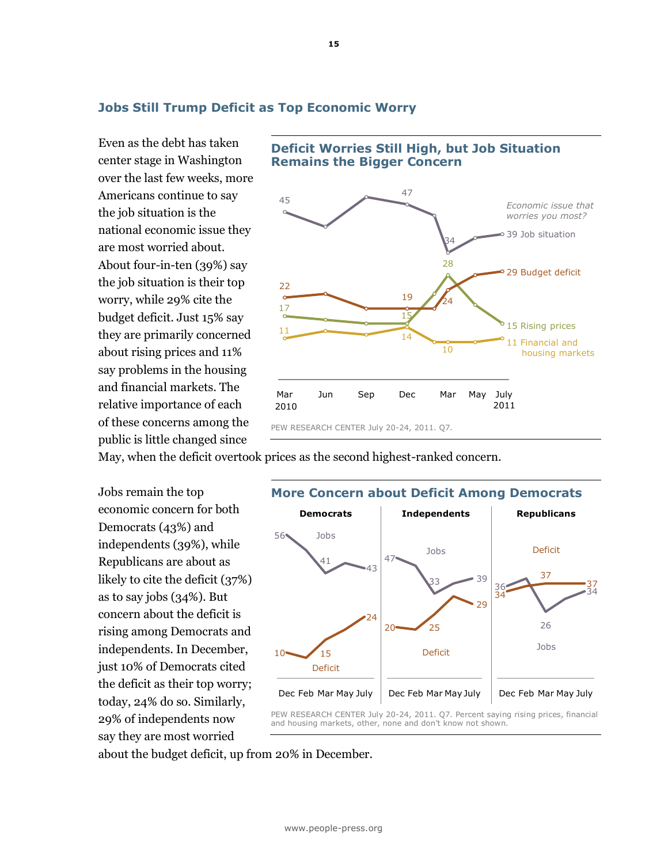# **Jobs Still Trump Deficit as Top Economic Worry**

Even as the debt has taken center stage in Washington over the last few weeks, more Americans continue to say the job situation is the national economic issue they are most worried about. About four-in-ten (39%) say the job situation is their top worry, while 29% cite the budget deficit. Just 15% say they are primarily concerned about rising prices and 11% say problems in the housing and financial markets. The relative importance of each of these concerns among the public is little changed since



**Deficit Worries Still High, but Job Situation** 

**Remains the Bigger Concern**

May, when the deficit overtook prices as the second highest-ranked concern.

Jobs remain the top economic concern for both Democrats (43%) and independents (39%), while Republicans are about as likely to cite the deficit (37%) as to say jobs (34%). But concern about the deficit is rising among Democrats and independents. In December, just 10% of Democrats cited the deficit as their top worry; today, 24% do so. Similarly, 29% of independents now say they are most worried



about the budget deficit, up from 20% in December.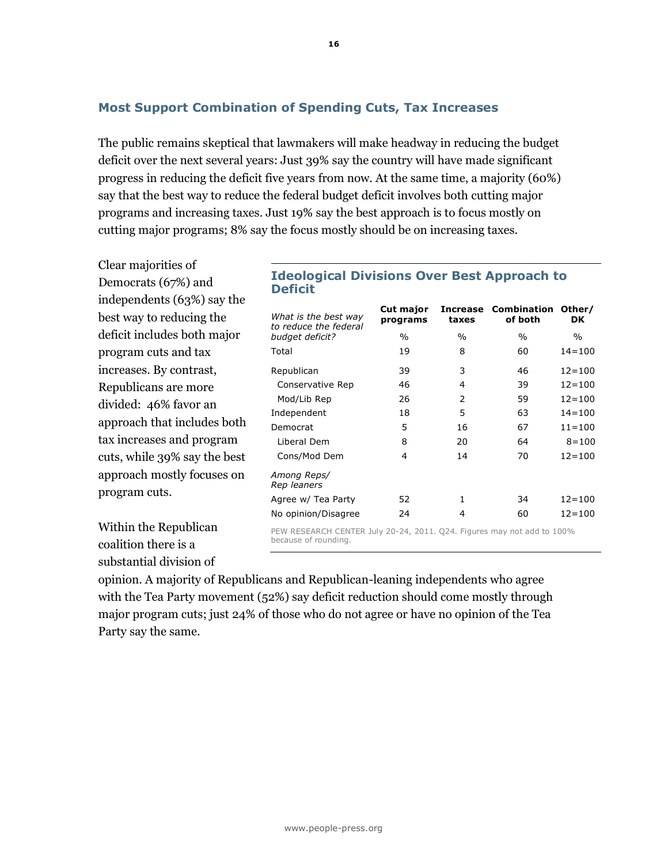The public remains skeptical that lawmakers will make headway in reducing the budget deficit over the next several years: Just 39% say the country will have made significant progress in reducing the deficit five years from now. At the same time, a majority (60%) say that the best way to reduce the federal budget deficit involves both cutting major programs and increasing taxes. Just 19% say the best approach is to focus mostly on cutting major programs; 8% say the focus mostly should be on increasing taxes.

Clear majorities of Democrats (67%) and independents (63%) say the best way to reducing the deficit includes both major program cuts and tax increases. By contrast, Republicans are more divided: 46% favor an approach that includes both tax increases and program cuts, while 39% say the best approach mostly focuses on program cuts.

Within the Republican coalition there is a substantial division of

## **Ideological Divisions Over Best Approach to Deficit**

| What is the best way<br>to reduce the federal                          | Cut major<br>programs | <b>Increase</b><br>taxes | <b>Combination</b><br>of both | Other/<br>DK |  |  |  |  |
|------------------------------------------------------------------------|-----------------------|--------------------------|-------------------------------|--------------|--|--|--|--|
| budget deficit?                                                        | $\%$                  | $\frac{0}{0}$            | $\%$                          | $\%$         |  |  |  |  |
| Total                                                                  | 19                    | 8                        | 60                            | $14 = 100$   |  |  |  |  |
| Republican                                                             | 39                    | 3                        | 46                            | $12 = 100$   |  |  |  |  |
| Conservative Rep                                                       | 46                    | 4                        | 39                            | $12 = 100$   |  |  |  |  |
| Mod/Lib Rep                                                            | 26                    | 2                        | 59                            | $12 = 100$   |  |  |  |  |
| Independent                                                            | 18                    | 5                        | 63                            | $14 = 100$   |  |  |  |  |
| Democrat                                                               | 5                     | 16                       | 67                            | $11 = 100$   |  |  |  |  |
| Liberal Dem                                                            | 8                     | 20                       | 64                            | $8 = 100$    |  |  |  |  |
| Cons/Mod Dem                                                           | 4                     | 14                       | 70                            | $12 = 100$   |  |  |  |  |
| Among Reps/<br>Rep leaners                                             |                       |                          |                               |              |  |  |  |  |
| Agree w/ Tea Party                                                     | 52                    | 1                        | 34                            | $12 = 100$   |  |  |  |  |
| No opinion/Disagree                                                    | 24                    | 4                        | 60                            | $12 = 100$   |  |  |  |  |
| PEW RESEARCH CENTER July 20-24, 2011, O24, Figures may not add to 100% |                       |                          |                               |              |  |  |  |  |

PEW RESEARCH CENTER July 20-24, 2011. Q24. Figures may not add to 100% because of rounding.

opinion. A majority of Republicans and Republican-leaning independents who agree with the Tea Party movement (52%) say deficit reduction should come mostly through major program cuts; just 24% of those who do not agree or have no opinion of the Tea Party say the same.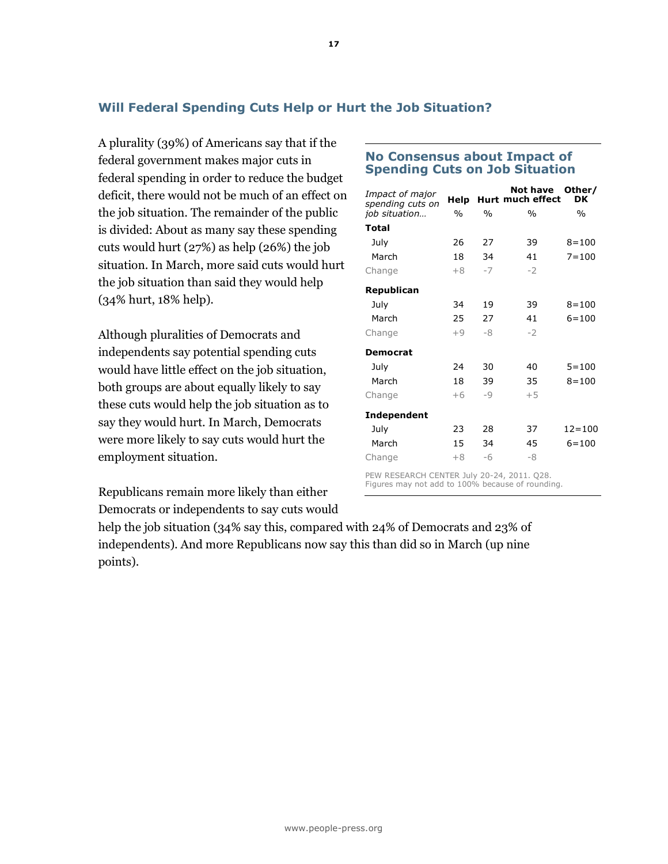# **Will Federal Spending Cuts Help or Hurt the Job Situation?**

A plurality (39%) of Americans say that if the federal government makes major cuts in federal spending in order to reduce the budget deficit, there would not be much of an effect on the job situation. The remainder of the public is divided: About as many say these spending cuts would hurt (27%) as help (26%) the job situation. In March, more said cuts would hurt the job situation than said they would help (34% hurt, 18% help).

Although pluralities of Democrats and independents say potential spending cuts would have little effect on the job situation, both groups are about equally likely to say these cuts would help the job situation as to say they would hurt. In March, Democrats were more likely to say cuts would hurt the employment situation.

Republicans remain more likely than either Democrats or independents to say cuts would

| Impact of major<br>spending cuts on | Help          |               | Not have<br>Hurt much effect | Other/<br>DK  |
|-------------------------------------|---------------|---------------|------------------------------|---------------|
| job situation                       | $\frac{0}{0}$ | $\frac{0}{0}$ | $\frac{0}{0}$                | $\frac{0}{0}$ |
| Total                               |               |               |                              |               |
| July                                | 26            | 27            | 39                           | $8 = 100$     |
| March                               | 18            | 34            | 41                           | $7 = 100$     |
| Change                              | $+8$          | $-7$          | $-2$                         |               |
| Republican                          |               |               |                              |               |
| July                                | 34            | 19            | 39                           | $8 = 100$     |
| March                               | 25            | 27            | 41                           | $6 = 100$     |
| Change                              | $+9$          | -8            | $-2$                         |               |
| <b>Democrat</b>                     |               |               |                              |               |
| July                                | 24            | 30            | 40                           | $5 = 100$     |
| March                               | 18            | 39            | 35                           | $8 = 100$     |
| Change                              | $+6$          | $-9$          | $+5$                         |               |
| Independent                         |               |               |                              |               |
| July                                | 23            | 28            | 37                           | $12 = 100$    |
| March                               | 15            | 34            | 45                           | $6 = 100$     |
| Change                              | $+8$          | -6            | -8                           |               |

**No Consensus about Impact of Spending Cuts on Job Situation**

PEW RESEARCH CENTER July 20-24, 2011. Q28. Figures may not add to 100% because of rounding.

help the job situation (34% say this, compared with 24% of Democrats and 23% of independents). And more Republicans now say this than did so in March (up nine points).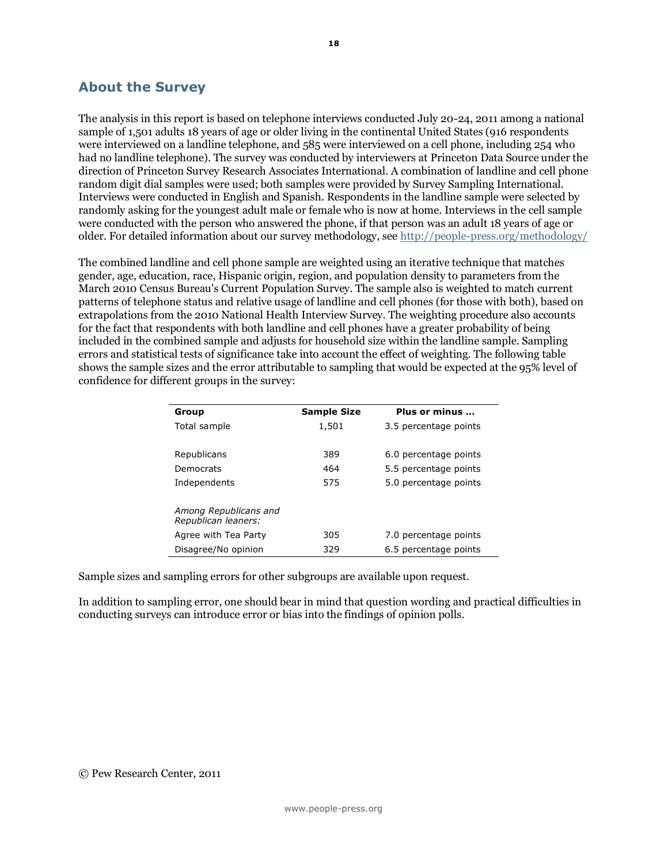# **About the Survey**

The analysis in this report is based on telephone interviews conducted July 20-24, 2011 among a national sample of 1,501 adults 18 years of age or older living in the continental United States (916 respondents were interviewed on a landline telephone, and 585 were interviewed on a cell phone, including 254 who had no landline telephone). The survey was conducted by interviewers at Princeton Data Source under the direction of Princeton Survey Research Associates International. A combination of landline and cell phone random digit dial samples were used; both samples were provided by Survey Sampling International. Interviews were conducted in English and Spanish. Respondents in the landline sample were selected by randomly asking for the youngest adult male or female who is now at home. Interviews in the cell sample were conducted with the person who answered the phone, if that person was an adult 18 years of age or older. For detailed information about our survey methodology, see<http://people-press.org/methodology/>

The combined landline and cell phone sample are weighted using an iterative technique that matches gender, age, education, race, Hispanic origin, region, and population density to parameters from the March 2010 Census Bureau's Current Population Survey. The sample also is weighted to match current patterns of telephone status and relative usage of landline and cell phones (for those with both), based on extrapolations from the 2010 National Health Interview Survey. The weighting procedure also accounts for the fact that respondents with both landline and cell phones have a greater probability of being included in the combined sample and adjusts for household size within the landline sample. Sampling errors and statistical tests of significance take into account the effect of weighting. The following table shows the sample sizes and the error attributable to sampling that would be expected at the 95% level of confidence for different groups in the survey:

| Group                 | <b>Sample Size</b> | Plus or minus         |
|-----------------------|--------------------|-----------------------|
| Total sample          | 1,501              | 3.5 percentage points |
|                       |                    |                       |
| Republicans           | 389                | 6.0 percentage points |
| Democrats             | 464                | 5.5 percentage points |
| Independents          | 575                | 5.0 percentage points |
|                       |                    |                       |
| Among Republicans and |                    |                       |
| Republican leaners:   |                    |                       |
| Agree with Tea Party  | 305                | 7.0 percentage points |
| Disagree/No opinion   | 329                | 6.5 percentage points |

Sample sizes and sampling errors for other subgroups are available upon request.

In addition to sampling error, one should bear in mind that question wording and practical difficulties in conducting surveys can introduce error or bias into the findings of opinion polls.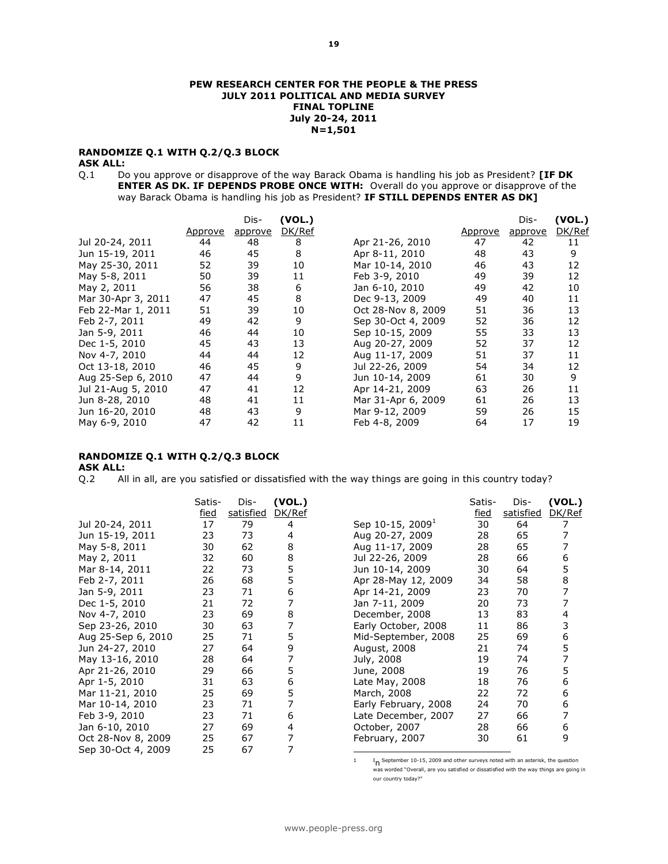#### **PEW RESEARCH CENTER FOR THE PEOPLE & THE PRESS JULY 2011 POLITICAL AND MEDIA SURVEY FINAL TOPLINE July 20-24, 2011 N=1,501**

### **RANDOMIZE Q.1 WITH Q.2/Q.3 BLOCK**

#### **ASK ALL:**

Q.1 Do you approve or disapprove of the way Barack Obama is handling his job as President? **[IF DK ENTER AS DK. IF DEPENDS PROBE ONCE WITH:** Overall do you approve or disapprove of the way Barack Obama is handling his job as President? **IF STILL DEPENDS ENTER AS DK]**

|                    |         | Dis-    | (VOL.) |                    |         | Dis-    | (VOL.) |
|--------------------|---------|---------|--------|--------------------|---------|---------|--------|
|                    | Approve | approve | DK/Ref |                    | Approve | approve | DK/Ref |
| Jul 20-24, 2011    | 44      | 48      | 8      | Apr 21-26, 2010    | 47      | 42      | 11     |
| Jun 15-19, 2011    | 46      | 45      | 8      | Apr 8-11, 2010     | 48      | 43      | 9      |
| May 25-30, 2011    | 52      | 39      | 10     | Mar 10-14, 2010    | 46      | 43      | 12     |
| May 5-8, 2011      | 50      | 39      | 11     | Feb 3-9, 2010      | 49      | 39      | 12     |
| May 2, 2011        | 56      | 38      | 6      | Jan 6-10, 2010     | 49      | 42      | 10     |
| Mar 30-Apr 3, 2011 | 47      | 45      | 8      | Dec 9-13, 2009     | 49      | 40      | 11     |
| Feb 22-Mar 1, 2011 | 51      | 39      | 10     | Oct 28-Nov 8, 2009 | 51      | 36      | 13     |
| Feb 2-7, 2011      | 49      | 42      | 9      | Sep 30-Oct 4, 2009 | 52      | 36      | 12     |
| Jan 5-9, 2011      | 46      | 44      | 10     | Sep 10-15, 2009    | 55      | 33      | 13     |
| Dec 1-5, 2010      | 45      | 43      | 13     | Aug 20-27, 2009    | 52      | 37      | 12     |
| Nov 4-7, 2010      | 44      | 44      | 12     | Aug 11-17, 2009    | 51      | 37      | 11     |
| Oct 13-18, 2010    | 46      | 45      | 9      | Jul 22-26, 2009    | 54      | 34      | 12     |
| Aug 25-Sep 6, 2010 | 47      | 44      | 9      | Jun 10-14, 2009    | 61      | 30      | 9      |
| Jul 21-Aug 5, 2010 | 47      | 41      | 12     | Apr 14-21, 2009    | 63      | 26      | 11     |
| Jun 8-28, 2010     | 48      | 41      | 11     | Mar 31-Apr 6, 2009 | 61      | 26      | 13     |
| Jun 16-20, 2010    | 48      | 43      | 9      | Mar 9-12, 2009     | 59      | 26      | 15     |
| May 6-9, 2010      | 47      | 42      | 11     | Feb 4-8, 2009      | 64      | 17      | 19     |

## **RANDOMIZE Q.1 WITH Q.2/Q.3 BLOCK**

# **ASK ALL:**

Q.2 All in all, are you satisfied or dissatisfied with the way things are going in this country today?

|                    | Satis-<br>fied | Dis-<br>satisfied | (VOL.)<br>DK/Ref |                              | Satis-<br>fied | Dis-<br>satisfied | (VOL.)<br>DK/Ref |
|--------------------|----------------|-------------------|------------------|------------------------------|----------------|-------------------|------------------|
| Jul 20-24, 2011    | 17             | 79                | 4                | Sep 10-15, 2009 <sup>1</sup> | 30             | 64                |                  |
| Jun 15-19, 2011    | 23             | 73                | 4                | Aug 20-27, 2009              | 28             | 65                | 7                |
| May 5-8, 2011      | 30             | 62                | 8                | Aug 11-17, 2009              | 28             | 65                |                  |
| May 2, 2011        | 32             | 60                | 8                | Jul 22-26, 2009              | 28             | 66                | 6                |
| Mar 8-14, 2011     | 22             | 73                | 5                | Jun 10-14, 2009              | 30             | 64                | 5                |
| Feb 2-7, 2011      | 26             | 68                | 5                | Apr 28-May 12, 2009          | 34             | 58                | 8                |
| Jan 5-9, 2011      | 23             | 71                | 6                | Apr 14-21, 2009              | 23             | 70                | 7                |
| Dec 1-5, 2010      | 21             | 72                |                  | Jan 7-11, 2009               | 20             | 73                |                  |
| Nov 4-7, 2010      | 23             | 69                | 8                | December, 2008               | 13             | 83                | 4                |
| Sep 23-26, 2010    | 30             | 63                |                  | Early October, 2008          | 11             | 86                | 3                |
| Aug 25-Sep 6, 2010 | 25             | 71                | 5                | Mid-September, 2008          | 25             | 69                | 6                |
| Jun 24-27, 2010    | 27             | 64                | 9                | August, 2008                 | 21             | 74                | 5                |
| May 13-16, 2010    | 28             | 64                | 7                | July, 2008                   | 19             | 74                | 7                |
| Apr 21-26, 2010    | 29             | 66                | 5                | June, 2008                   | 19             | 76                | 5                |
| Apr 1-5, 2010      | 31             | 63                | 6                | Late May, 2008               | 18             | 76                | 6                |
| Mar 11-21, 2010    | 25             | 69                | 5                | March, 2008                  | 22             | 72                | 6                |
| Mar 10-14, 2010    | 23             | 71                |                  | Early February, 2008         | 24             | 70                | 6                |
| Feb 3-9, 2010      | 23             | 71                | 6                | Late December, 2007          | 27             | 66                | 7                |
| Jan 6-10, 2010     | 27             | 69                | 4                | October, 2007                | 28             | 66                | 6                |
| Oct 28-Nov 8, 2009 | 25             | 67                |                  | February, 2007               | 30             | 61                | 9                |
| Sep 30-Oct 4, 2009 | 25             | 67                |                  |                              |                |                   |                  |
|                    |                |                   |                  |                              |                |                   |                  |

1 In September 10-15, 2009 and other surveys noted with an asterisk, the question was worded "Overall, are you satisfied or dissatisfied with the way things are going in our country today?"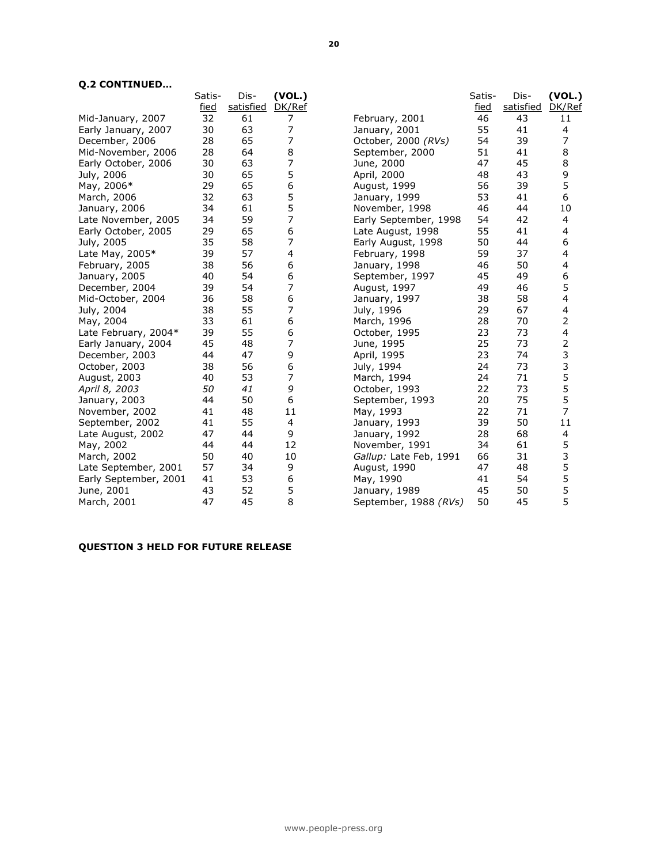## **Q.2 CONTINUED…**

|                       | Satis-      | Dis-      | (VOL.) |                        | Satis-      | Dis-      | (VOL.) |
|-----------------------|-------------|-----------|--------|------------------------|-------------|-----------|--------|
|                       | <u>fied</u> | satisfied | DK/Ref |                        | <u>fied</u> | satisfied | DK/Ref |
| Mid-January, 2007     | 32          | 61        | 7      | February, 2001         | 46          | 43        | 11     |
| Early January, 2007   | 30          | 63        | 7      | January, 2001          | 55          | 41        | 4      |
| December, 2006        | 28          | 65        | 7      | October, 2000 (RVs)    | 54          | 39        | 7      |
| Mid-November, 2006    | 28          | 64        | 8      | September, 2000        | 51          | 41        | 8      |
| Early October, 2006   | 30          | 63        | 7      | June, 2000             | 47          | 45        | 8      |
| July, 2006            | 30          | 65        | 5      | April, 2000            | 48          | 43        | 9      |
| May, 2006*            | 29          | 65        | 6      | August, 1999           | 56          | 39        | 5      |
| March, 2006           | 32          | 63        | 5      | January, 1999          | 53          | 41        | 6      |
| January, 2006         | 34          | 61        | 5      | November, 1998         | 46          | 44        | 10     |
| Late November, 2005   | 34          | 59        | 7      | Early September, 1998  | 54          | 42        | 4      |
| Early October, 2005   | 29          | 65        | 6      | Late August, 1998      | 55          | 41        | 4      |
| July, 2005            | 35          | 58        | 7      | Early August, 1998     | 50          | 44        | 6      |
| Late May, 2005*       | 39          | 57        | 4      | February, 1998         | 59          | 37        | 4      |
| February, 2005        | 38          | 56        | 6      | January, 1998          | 46          | 50        | 4      |
| January, 2005         | 40          | 54        | 6      | September, 1997        | 45          | 49        | 6      |
| December, 2004        | 39          | 54        | 7      | August, 1997           | 49          | 46        | 5      |
| Mid-October, 2004     | 36          | 58        | 6      | January, 1997          | 38          | 58        | 4      |
| July, 2004            | 38          | 55        | 7      | July, 1996             | 29          | 67        | 4      |
| May, 2004             | 33          | 61        | 6      | March, 1996            | 28          | 70        | 2      |
| Late February, 2004*  | 39          | 55        | 6      | October, 1995          | 23          | 73        | 4      |
| Early January, 2004   | 45          | 48        | 7      | June, 1995             | 25          | 73        | 2      |
| December, 2003        | 44          | 47        | 9      | April, 1995            | 23          | 74        | 3      |
| October, 2003         | 38          | 56        | 6      | July, 1994             | 24          | 73        | 3      |
| August, 2003          | 40          | 53        | 7      | March, 1994            | 24          | 71        | 5      |
| April 8, 2003         | 50          | 41        | 9      | October, 1993          | 22          | 73        | 5      |
| January, 2003         | 44          | 50        | 6      | September, 1993        | 20          | 75        | 5      |
| November, 2002        | 41          | 48        | 11     | May, 1993              | 22          | 71        | 7      |
| September, 2002       | 41          | 55        | 4      | January, 1993          | 39          | 50        | 11     |
| Late August, 2002     | 47          | 44        | 9      | January, 1992          | 28          | 68        | 4      |
| May, 2002             | 44          | 44        | 12     | November, 1991         | 34          | 61        | 5      |
| March, 2002           | 50          | 40        | 10     | Gallup: Late Feb, 1991 | 66          | 31        | 3      |
| Late September, 2001  | 57          | 34        | 9      | August, 1990           | 47          | 48        | 5      |
| Early September, 2001 | 41          | 53        | 6      | May, 1990              | 41          | 54        | 5      |
| June, 2001            | 43          | 52        | 5      | January, 1989          | 45          | 50        | 5      |
| March, 2001           | 47          | 45        | 8      | September, 1988 (RVs)  | 50          | 45        | 5      |
|                       |             |           |        |                        |             |           |        |

# **QUESTION 3 HELD FOR FUTURE RELEASE**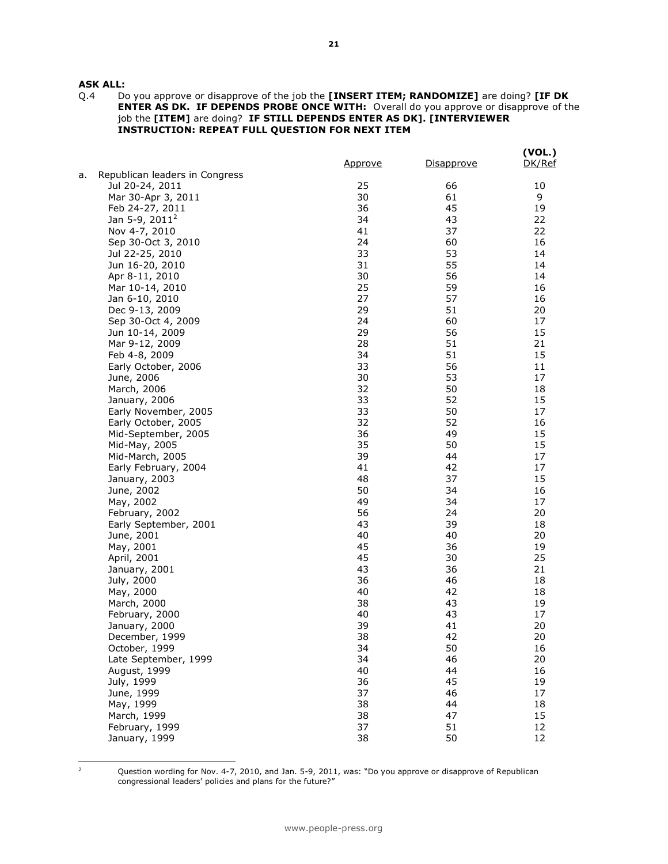# **ASK ALL:**<br>Q.4 Dr

Q.4 Do you approve or disapprove of the job the **[INSERT ITEM; RANDOMIZE]** are doing? **[IF DK ENTER AS DK. IF DEPENDS PROBE ONCE WITH:** Overall do you approve or disapprove of the job the **[ITEM]** are doing? **IF STILL DEPENDS ENTER AS DK]. [INTERVIEWER INSTRUCTION: REPEAT FULL QUESTION FOR NEXT ITEM**

|    |                                | <u>Approve</u> | Disapprove | (VOL.)<br>DK/Ref |
|----|--------------------------------|----------------|------------|------------------|
| a. | Republican leaders in Congress |                |            |                  |
|    | Jul 20-24, 2011                | 25             | 66         | 10               |
|    | Mar 30-Apr 3, 2011             | 30             | 61         | 9                |
|    | Feb 24-27, 2011                | 36             | 45         | 19               |
|    | Jan 5-9, 2011 <sup>2</sup>     | 34             | 43         | 22               |
|    | Nov 4-7, 2010                  | 41             | 37         | 22               |
|    | Sep 30-Oct 3, 2010             | 24             | 60         | 16               |
|    | Jul 22-25, 2010                | 33             | 53         | 14               |
|    | Jun 16-20, 2010                | 31             | 55         | 14               |
|    | Apr 8-11, 2010                 | 30             | 56         | 14               |
|    | Mar 10-14, 2010                | 25             | 59         | 16               |
|    | Jan 6-10, 2010                 | 27             | 57         | 16               |
|    | Dec 9-13, 2009                 | 29             | 51         | 20               |
|    | Sep 30-Oct 4, 2009             | 24             | 60         | 17               |
|    | Jun 10-14, 2009                | 29             | 56         | 15               |
|    | Mar 9-12, 2009                 | 28             | 51         | 21               |
|    | Feb 4-8, 2009                  | 34             | 51         | 15               |
|    | Early October, 2006            | 33             | 56         | 11               |
|    | June, 2006                     | 30             | 53         | 17               |
|    | March, 2006                    | 32             | 50         | 18               |
|    | January, 2006                  | 33             | 52         | 15               |
|    | Early November, 2005           | 33             | 50         | 17               |
|    | Early October, 2005            | 32             | 52         | 16               |
|    | Mid-September, 2005            | 36             | 49         | 15               |
|    | Mid-May, 2005                  | 35             | 50         | 15               |
|    | Mid-March, 2005                | 39             | 44         | 17               |
|    | Early February, 2004           | 41             | 42         | 17               |
|    | January, 2003                  | 48             | 37         | 15               |
|    | June, 2002                     | 50             | 34         | 16               |
|    | May, 2002                      | 49             | 34         | 17               |
|    | February, 2002                 | 56             | 24         | 20               |
|    | Early September, 2001          | 43             | 39         | 18               |
|    | June, 2001                     | 40             | 40         | 20               |
|    | May, 2001                      | 45             | 36         | 19               |
|    | April, 2001                    | 45             | 30         | 25               |
|    | January, 2001                  | 43             | 36         | 21               |
|    | July, 2000                     | 36             | 46         | 18               |
|    | May, 2000                      | 40             | 42         | 18               |
|    | March, 2000                    | 38             | 43         | 19               |
|    | February, 2000                 | 40             | 43         | 17               |
|    | January, 2000                  | 39             | 41         | 20               |
|    | December, 1999                 | 38             | 42         | 20               |
|    | October, 1999                  | 34             | 50         | 16               |
|    | Late September, 1999           | 34             | 46         | 20               |
|    | August, 1999                   | 40             | 44         | 16               |
|    | July, 1999                     | 36             | 45         | 19               |
|    | June, 1999                     | 37             | 46         | 17               |
|    | May, 1999                      | 38             | 44         | 18               |
|    | March, 1999                    | 38             | 47         | 15               |
|    | February, 1999                 | 37             | 51         | 12               |
|    | January, 1999                  | 38             | 50         | 12               |
|    |                                |                |            |                  |

 $\mathsf{2}$ 

Question wording for Nov. 4-7, 2010, and Jan. 5-9, 2011, was: "Do you approve or disapprove of Republican congressional leaders' policies and plans for the future?"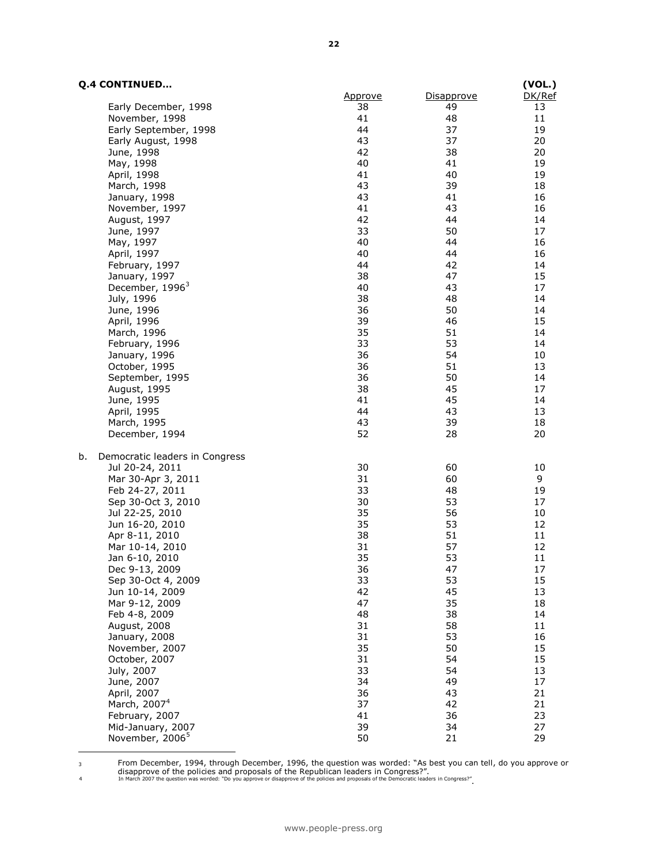### **Q.4 CONTINUED…**

| <b>Q.4 CONTINUED</b>           |                |            | (VOL.)   |
|--------------------------------|----------------|------------|----------|
|                                | <u>Approve</u> | Disapprove | DK/Ref   |
| Early December, 1998           | 38             | 49         | 13       |
| November, 1998                 | 41             | 48         | 11       |
| Early September, 1998          | 44             | 37         | 19       |
| Early August, 1998             | 43             | 37         | 20       |
| June, 1998                     | 42             | 38         | 20       |
| May, 1998                      | 40             | 41         | 19       |
| April, 1998                    | 41             | 40         | 19       |
| March, 1998                    | 43             | 39         | 18       |
| January, 1998                  | 43             | 41         | 16       |
| November, 1997                 | 41             | 43         | 16       |
| August, 1997                   | 42             | 44         | 14       |
| June, 1997                     | 33             | 50         | 17       |
| May, 1997                      | 40             | 44         | 16       |
| April, 1997                    | 40             | 44         | 16       |
| February, 1997                 | 44             | 42         | 14       |
| January, 1997                  | 38             | 47         | 15       |
| December, 1996 <sup>3</sup>    | 40             | 43         | 17       |
| July, 1996                     | 38             | 48         | 14       |
| June, 1996                     | 36             | 50         | 14       |
| April, 1996                    | 39             | 46         | 15       |
| March, 1996                    | 35             | 51         | 14       |
| February, 1996                 | 33             | 53         | 14       |
| January, 1996                  | 36             | 54         | 10       |
| October, 1995                  | 36             | 51         | 13       |
| September, 1995                | 36             | 50         | 14       |
| August, 1995                   | 38             | 45         | 17       |
|                                | 41             | 45         | 14       |
| June, 1995                     | 44             |            |          |
| April, 1995                    |                | 43         | 13       |
| March, 1995<br>December, 1994  | 43<br>52       | 39<br>28   | 18<br>20 |
| b.                             |                |            |          |
| Democratic leaders in Congress | 30             | 60         | 10       |
| Jul 20-24, 2011                |                | 60         |          |
| Mar 30-Apr 3, 2011             | 31<br>33       | 48         | 9        |
| Feb 24-27, 2011                |                |            | 19       |
| Sep 30-Oct 3, 2010             | 30             | 53         | 17       |
| Jul 22-25, 2010                | 35             | 56         | 10       |
| Jun 16-20, 2010                | 35             | 53         | 12       |
| Apr 8-11, 2010                 | 38             | 51         | 11       |
| Mar 10-14, 2010                | 31             | 57         | 12       |
| Jan 6-10, 2010                 | 35             | 53         | 11       |
| Dec 9-13, 2009                 | 36             | 47         | 17       |
| Sep 30-Oct 4, 2009             | 33             | 53         | 15       |
| Jun 10-14, 2009                | 42             | 45         | 13       |
| Mar 9-12, 2009                 | 47             | 35         | 18       |
| Feb 4-8, 2009                  | 48             | 38         | 14       |
| August, 2008                   | 31             | 58         | 11       |
| January, 2008                  | 31             | 53         | 16       |
| November, 2007                 | 35             | 50         | 15       |
| October, 2007                  | 31             | 54         | 15       |
| July, 2007                     | 33             | 54         | 13       |
| June, 2007                     | 34             | 49         | 17       |
| April, 2007                    | 36             | 43         | 21       |
| March, 2007 <sup>4</sup>       | 37             | 42         | 21       |
| February, 2007                 | 41             | 36         | 23       |
| Mid-January, 2007              | 39             | 34         | 27       |
| November, 2006 <sup>5</sup>    | 50             | 21         | 29       |
|                                |                |            |          |

3 From December, 1994, through December, 1996, the question was worded: "As best you can tell, do you approve or<br>disapprove of the policies and proposals of the Republican leaders in Congress?".<br>In March 2007 the question

**22**

l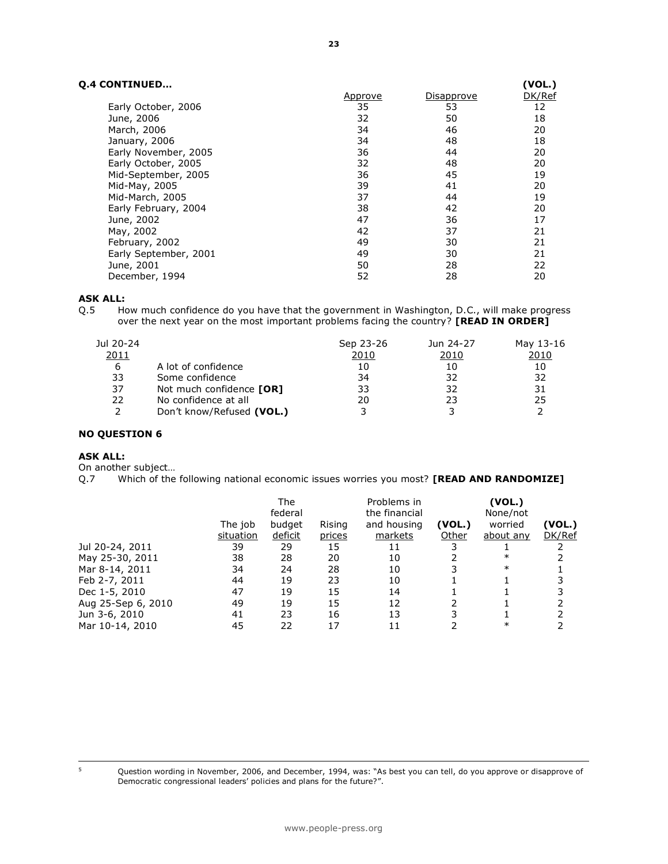# **Q.4 CONTINUED…**

| <b>CONTINUED</b>      |                |                   | (VOL.) |
|-----------------------|----------------|-------------------|--------|
|                       | <u>Approve</u> | <u>Disapprove</u> | DK/Ref |
| Early October, 2006   | 35             | 53                | 12     |
| June, 2006            | 32             | 50                | 18     |
| March, 2006           | 34             | 46                | 20     |
| January, 2006         | 34             | 48                | 18     |
| Early November, 2005  | 36             | 44                | 20     |
| Early October, 2005   | 32             | 48                | 20     |
| Mid-September, 2005   | 36             | 45                | 19     |
| Mid-May, 2005         | 39             | 41                | 20     |
| Mid-March, 2005       | 37             | 44                | 19     |
| Early February, 2004  | 38             | 42                | 20     |
| June, 2002            | 47             | 36                | 17     |
| May, 2002             | 42             | 37                | 21     |
| February, 2002        | 49             | 30                | 21     |
| Early September, 2001 | 49             | 30                | 21     |
| June, 2001            | 50             | 28                | 22     |
| December, 1994        | 52             | 28                | 20     |

#### **ASK ALL:**

Q.5 How much confidence do you have that the government in Washington, D.C., will make progress over the next year on the most important problems facing the country? **[READ IN ORDER]**

| Jul 20-24 |                           | Sep 23-26 | Jun 24-27 | May 13-16 |
|-----------|---------------------------|-----------|-----------|-----------|
| 2011      |                           | 2010      | 2010      | 2010      |
| 6         | A lot of confidence       | 10        | 10        | 10        |
| 33        | Some confidence           | 34        | 32        | 32        |
| 37        | Not much confidence [OR]  | 33        | 32        | 31        |
| 22        | No confidence at all      | 20        | 23        | 25        |
|           | Don't know/Refused (VOL.) |           |           |           |

#### **NO QUESTION 6**

#### **ASK ALL:**

On another subject…

Q.7 Which of the following national economic issues worries you most? **[READ AND RANDOMIZE]** 

|                    |           | <b>The</b><br>federal |        | Problems in<br>the financial |        |           |        |
|--------------------|-----------|-----------------------|--------|------------------------------|--------|-----------|--------|
|                    | The job   | budget                | Rising | and housing                  | (VOL.) | worried   | (VOL.) |
|                    | situation | deficit               | prices | markets                      | Other  | about any | DK/Ref |
| Jul 20-24, 2011    | 39        | 29                    | 15     | 11                           |        |           |        |
| May 25-30, 2011    | 38        | 28                    | 20     | 10                           |        | $\ast$    |        |
| Mar 8-14, 2011     | 34        | 24                    | 28     | 10                           |        | $\ast$    |        |
| Feb 2-7, 2011      | 44        | 19                    | 23     | 10                           |        |           |        |
| Dec 1-5, 2010      | 47        | 19                    | 15     | 14                           |        |           |        |
| Aug 25-Sep 6, 2010 | 49        | 19                    | 15     | 12                           |        |           |        |
| Jun 3-6, 2010      | 41        | 23                    | 16     | 13                           |        |           |        |
| Mar 10-14, 2010    | 45        | 22                    | 17     |                              |        | ∗         |        |

Question wording in November, 2006, and December, 1994, was: "As best you can tell, do you approve or disapprove of Democratic congressional leaders' policies and plans for the future?".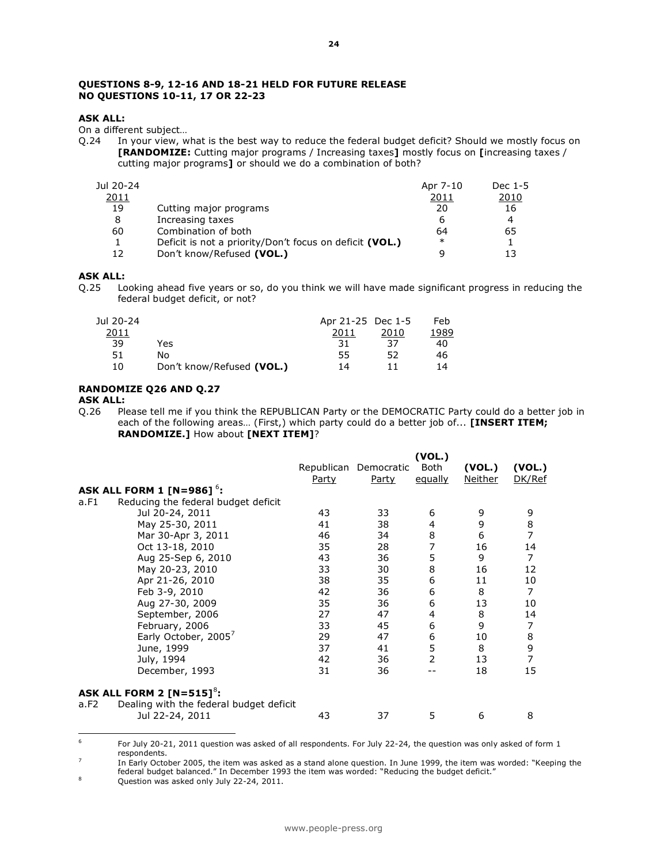#### **QUESTIONS 8-9, 12-16 AND 18-21 HELD FOR FUTURE RELEASE NO QUESTIONS 10-11, 17 OR 22-23**

#### **ASK ALL:**

On a different subject…

Q.24 In your view, what is the best way to reduce the federal budget deficit? Should we mostly focus on **[RANDOMIZE:** Cutting major programs / Increasing taxes**]** mostly focus on **[**increasing taxes / cutting major programs**]** or should we do a combination of both?

| Jul 20-24 |                                                         | Apr 7-10 | Dec 1-5      |
|-----------|---------------------------------------------------------|----------|--------------|
| 2011      |                                                         | 2011     | <u> 2010</u> |
| 19        | Cutting major programs                                  | 20       | 16           |
| 8         | Increasing taxes                                        | 6        | 4            |
| 60        | Combination of both                                     | 64       | 65           |
|           | Deficit is not a priority/Don't focus on deficit (VOL.) | $\ast$   |              |
| 12        | Don't know/Refused (VOL.)                               |          | 13           |

#### **ASK ALL:**

Q.25 Looking ahead five years or so, do you think we will have made significant progress in reducing the federal budget deficit, or not?

| Jul 20-24 |                           | Apr 21-25 Dec 1-5 |      | Feb  |
|-----------|---------------------------|-------------------|------|------|
| 2011      |                           | 2011              | 2010 | 1989 |
| 39        | Yes                       | 31                | 37   | 40   |
| 51        | No                        | 55                | 52   | 46   |
| 10        | Don't know/Refused (VOL.) | 14                |      | 14   |

#### **RANDOMIZE Q26 AND Q.27**

#### **ASK ALL:**

Q.26 Please tell me if you think the REPUBLICAN Party or the DEMOCRATIC Party could do a better job in each of the following areas… (First,) which party could do a better job of... **[INSERT ITEM; RANDOMIZE.]** How about **[NEXT ITEM]**?

|                                                 |       |                       | (VOL.)         |                |                                            |
|-------------------------------------------------|-------|-----------------------|----------------|----------------|--------------------------------------------|
|                                                 |       | Republican Democratic | Both           | (VOL.)         | (VOL.)                                     |
|                                                 | Party | Party                 | equally        | <u>Neither</u> | DK/Ref                                     |
| ASK ALL FORM 1 [N=986] $6$ :                    |       |                       |                |                |                                            |
| Reducing the federal budget deficit<br>a.F1     |       |                       |                |                |                                            |
| Jul 20-24, 2011                                 | 43    | 33                    | 6              | 9              | 9                                          |
| May 25-30, 2011                                 | 41    | 38                    | 4              | 9              | $\begin{array}{c} 8 \\ 7 \end{array}$      |
| Mar 30-Apr 3, 2011                              | 46    | 34                    | 8              | 6              |                                            |
| Oct 13-18, 2010                                 | 35    | 28                    | 7              | 16             | 14                                         |
| Aug 25-Sep 6, 2010                              | 43    | 36                    | 5              | 9              | 7                                          |
| May 20-23, 2010                                 | 33    | 30                    | 8              | 16             | 12                                         |
| Apr 21-26, 2010                                 | 38    | 35                    | 6              | 11             | 10                                         |
| Feb 3-9, 2010                                   | 42    | 36                    | 6              | 8              | $\overline{7}$                             |
| Aug 27-30, 2009                                 | 35    | 36                    | 6              | 13             | 10                                         |
| September, 2006                                 | 27    | 47                    | 4              | 8              | 14                                         |
| February, 2006                                  | 33    | 45                    | 6              | 9              | 7                                          |
| Early October, 2005 <sup>7</sup>                | 29    | 47                    | 6              | 10             |                                            |
| June, 1999                                      | 37    | 41                    | 5              | 8              | $\begin{array}{c} 8 \\ 9 \\ 7 \end{array}$ |
| July, 1994                                      | 42    | 36                    | $\overline{2}$ | 13             |                                            |
| December, 1993                                  | 31    | 36                    |                | 18             | 15                                         |
| ASK ALL FORM 2 $[N=515]^8$ :                    |       |                       |                |                |                                            |
| Dealing with the federal budget deficit<br>a.F2 |       |                       |                |                |                                            |
| Jul 22-24, 2011                                 | 43    | 37                    | 5              | 6              | 8                                          |

<sup>-&</sup>lt;br>6 For July 20-21, 2011 question was asked of all respondents. For July 22-24, the question was only asked of form 1 respondents.

<sup>7</sup> In Early October 2005, the item was asked as a stand alone question. In June 1999, the item was worded: "Keeping the federal budget balanced." In December 1993 the item was worded: "Reducing the budget deficit."

<sup>&</sup>lt;sup>8</sup> Question was asked only July 22-24, 2011.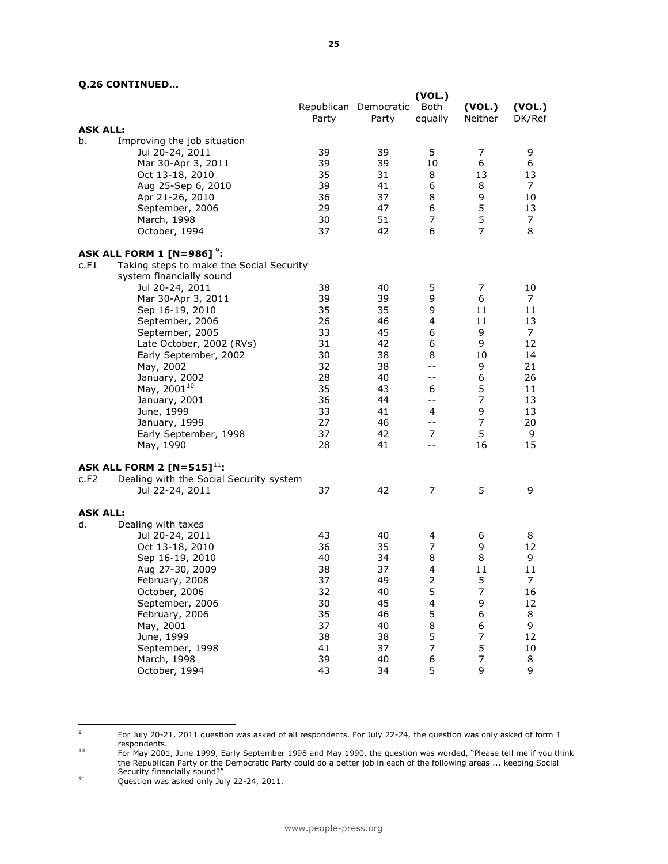### **Q.26 CONTINUED…**

|                 |                                                                                                                                                                                                                                                                                                                                                                                                             | <b>Party</b>                                                                           | Republican Democratic<br>Party                                                         | (VOL.)<br>Both<br>equally                                                                                              | (VOL.)<br><b>Neither</b>                                                                              | (VOL.)<br>DK/Ref                                                                    |
|-----------------|-------------------------------------------------------------------------------------------------------------------------------------------------------------------------------------------------------------------------------------------------------------------------------------------------------------------------------------------------------------------------------------------------------------|----------------------------------------------------------------------------------------|----------------------------------------------------------------------------------------|------------------------------------------------------------------------------------------------------------------------|-------------------------------------------------------------------------------------------------------|-------------------------------------------------------------------------------------|
| <b>ASK ALL:</b> |                                                                                                                                                                                                                                                                                                                                                                                                             |                                                                                        |                                                                                        |                                                                                                                        |                                                                                                       |                                                                                     |
| b.              | Improving the job situation<br>Jul 20-24, 2011<br>Mar 30-Apr 3, 2011<br>Oct 13-18, 2010<br>Aug 25-Sep 6, 2010<br>Apr 21-26, 2010<br>September, 2006<br>March, 1998<br>October, 1994                                                                                                                                                                                                                         | 39<br>39<br>35<br>39<br>36<br>29<br>30<br>37                                           | 39<br>39<br>31<br>41<br>37<br>47<br>51<br>42                                           | 5<br>10<br>8<br>6<br>8<br>6<br>7<br>6                                                                                  | 7<br>6<br>13<br>8<br>9<br>5<br>5<br>$\overline{7}$                                                    | 9<br>6<br>13<br>7<br>10<br>13<br>7<br>8                                             |
|                 |                                                                                                                                                                                                                                                                                                                                                                                                             |                                                                                        |                                                                                        |                                                                                                                        |                                                                                                       |                                                                                     |
| c.F1            | ASK ALL FORM 1 [N=986] $^9$ :<br>Taking steps to make the Social Security<br>system financially sound<br>Jul 20-24, 2011<br>Mar 30-Apr 3, 2011<br>Sep 16-19, 2010<br>September, 2006<br>September, 2005<br>Late October, 2002 (RVs)<br>Early September, 2002<br>May, 2002<br>January, 2002<br>May, 2001 <sup>10</sup><br>January, 2001<br>June, 1999<br>January, 1999<br>Early September, 1998<br>May, 1990 | 38<br>39<br>35<br>26<br>33<br>31<br>30<br>32<br>28<br>35<br>36<br>33<br>27<br>37<br>28 | 40<br>39<br>35<br>46<br>45<br>42<br>38<br>38<br>40<br>43<br>44<br>41<br>46<br>42<br>41 | 5<br>9<br>9<br>4<br>6<br>6<br>8<br>$-$<br>--<br>6<br>--<br>4<br>$ -$<br>$\overline{7}$<br>$-$                          | 7<br>6<br>11<br>11<br>9<br>9<br>10<br>9<br>6<br>5<br>$\overline{7}$<br>9<br>$\overline{7}$<br>5<br>16 | 10<br>7<br>11<br>13<br>7<br>12<br>14<br>21<br>26<br>11<br>13<br>13<br>20<br>9<br>15 |
| c.F2            | ASK ALL FORM 2 $[N=515]^{11}$ :<br>Dealing with the Social Security system                                                                                                                                                                                                                                                                                                                                  |                                                                                        |                                                                                        |                                                                                                                        |                                                                                                       |                                                                                     |
|                 | Jul 22-24, 2011                                                                                                                                                                                                                                                                                                                                                                                             | 37                                                                                     | 42                                                                                     | $\overline{7}$                                                                                                         | 5                                                                                                     | 9                                                                                   |
| <b>ASK ALL:</b> |                                                                                                                                                                                                                                                                                                                                                                                                             |                                                                                        |                                                                                        |                                                                                                                        |                                                                                                       |                                                                                     |
| d.              | Dealing with taxes<br>Jul 20-24, 2011<br>Oct 13-18, 2010<br>Sep 16-19, 2010<br>Aug 27-30, 2009<br>February, 2008<br>October, 2006<br>September, 2006<br>February, 2006<br>May, 2001<br>June, 1999<br>September, 1998<br>March, 1998<br>October, 1994                                                                                                                                                        | 43<br>36<br>40<br>38<br>37<br>32<br>30<br>35<br>37<br>38<br>41<br>39<br>43             | 40<br>35<br>34<br>37<br>49<br>40<br>45<br>46<br>40<br>38<br>37<br>40<br>34             | 4<br>7<br>8<br>4<br>$\overline{\mathbf{c}}$<br>5<br>$\overline{\mathbf{4}}$<br>5<br>8<br>5<br>$\overline{7}$<br>6<br>5 | 6<br>9<br>8<br>11<br>5<br>$\overline{7}$<br>9<br>6<br>6<br>$\overline{7}$<br>5<br>7<br>9              | 8<br>12<br>9<br>11<br>7<br>16<br>12<br>8<br>9<br>12<br>10<br>8<br>9                 |

-<br>9 For July 20-21, 2011 question was asked of all respondents. For July 22-24, the question was only asked of form 1

respondents.<br><sup>10</sup> For May 2001, June 1999, Early September 1998 and May 1990, the question was worded, "Please tell me if you think the Republican Party or the Democratic Party could do a better job in each of the following areas ... keeping Social Security financially sound?"

<sup>&</sup>lt;sup>11</sup> Question was asked only July 22-24, 2011.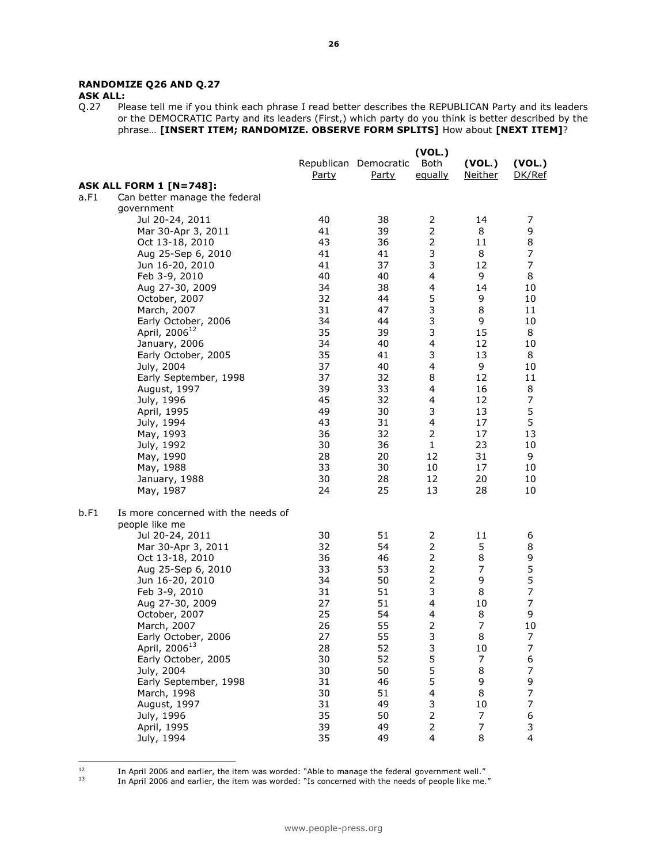## **RANDOMIZE Q26 AND Q.27**

**ASK ALL:**<br>Q.27 Pk Please tell me if you think each phrase I read better describes the REPUBLICAN Party and its leaders or the DEMOCRATIC Party and its leaders (First,) which party do you think is better described by the phrase… **[INSERT ITEM; RANDOMIZE. OBSERVE FORM SPLITS]** How about **[NEXT ITEM]**?

|      |                                     |              |                                       | (VOL.)          |                          |                          |
|------|-------------------------------------|--------------|---------------------------------------|-----------------|--------------------------|--------------------------|
|      |                                     | <u>Party</u> | Republican Democratic<br><b>Party</b> | Both<br>equally | (VOL.)<br><b>Neither</b> | (VOL.)<br>DK/Ref         |
|      | <b>ASK ALL FORM 1 [N=748]:</b>      |              |                                       |                 |                          |                          |
| a.F1 | Can better manage the federal       |              |                                       |                 |                          |                          |
|      | government                          |              |                                       |                 |                          |                          |
|      | Jul 20-24, 2011                     | 40           | 38                                    | 2               | 14                       | 7                        |
|      | Mar 30-Apr 3, 2011                  | 41           | 39                                    | 2               | 8                        | 9                        |
|      | Oct 13-18, 2010                     | 43           | 36                                    | $\overline{2}$  | 11                       | 8                        |
|      | Aug 25-Sep 6, 2010                  | 41           | 41                                    | 3               | 8                        | 7                        |
|      | Jun 16-20, 2010                     | 41           | 37                                    | 3               | 12                       | $\overline{7}$           |
|      | Feb 3-9, 2010                       | 40           | 40                                    | 4               | 9                        | 8                        |
|      | Aug 27-30, 2009                     | 34           | 38                                    | 4               | 14                       | 10                       |
|      | October, 2007                       | 32           | 44                                    | 5               | 9                        | 10                       |
|      | March, 2007                         | 31           | 47                                    | 3               | 8                        | 11                       |
|      | Early October, 2006                 | 34           | 44                                    | 3               | 9                        | 10                       |
|      | April, 2006 <sup>12</sup>           | 35           | 39                                    | 3               | 15                       | 8                        |
|      | January, 2006                       | 34           | 40                                    | 4               | 12                       | 10                       |
|      | Early October, 2005                 | 35           | 41                                    | 3               | 13                       | 8                        |
|      | July, 2004                          | 37           | 40                                    | 4               | 9                        | 10                       |
|      | Early September, 1998               | 37           | 32                                    | 8               | 12                       | 11                       |
|      | August, 1997                        | 39           | 33                                    | 4               | 16                       | 8                        |
|      | July, 1996                          | 45           | 32                                    | 4               | 12                       | $\overline{7}$           |
|      | April, 1995                         | 49           | 30                                    | 3               | 13                       | 5                        |
|      | July, 1994                          | 43           | 31                                    | 4               | 17                       | 5                        |
|      | May, 1993                           | 36           | 32                                    | 2               | 17                       | 13                       |
|      | July, 1992                          | 30           | 36                                    | $\mathbf{1}$    | 23                       | 10                       |
|      | May, 1990                           | 28           | 20                                    | 12              | 31                       | 9                        |
|      | May, 1988                           | 33           | 30                                    | 10              | 17                       | 10                       |
|      | January, 1988                       | 30           | 28                                    | 12              | 20                       | 10                       |
|      | May, 1987                           | 24           | 25                                    | 13              | 28                       | 10                       |
| b.F1 | Is more concerned with the needs of |              |                                       |                 |                          |                          |
|      | people like me                      |              |                                       |                 |                          |                          |
|      | Jul 20-24, 2011                     | 30           | 51                                    | $\overline{2}$  | 11                       | 6                        |
|      | Mar 30-Apr 3, 2011                  | 32           | 54                                    | 2               | 5                        | 8                        |
|      | Oct 13-18, 2010                     | 36           | 46                                    | $\overline{2}$  | 8                        | $\frac{9}{5}$            |
|      | Aug 25-Sep 6, 2010                  | 33           | 53                                    | $\overline{2}$  | $\overline{7}$           |                          |
|      | Jun 16-20, 2010                     | 34           | 50                                    | $\overline{2}$  | 9                        | 5                        |
|      | Feb 3-9, 2010                       | 31           | 51                                    | 3               | 8                        | $\overline{7}$           |
|      | Aug 27-30, 2009                     | 27           | 51                                    | 4               | 10                       | $\overline{7}$           |
|      | October, 2007                       | 25           | 54                                    | 4               | 8                        | 9                        |
|      | March, 2007                         | 26           | 55                                    | $\overline{2}$  | $\overline{7}$           | 10                       |
|      | Early October, 2006                 | 27           | 55                                    | 3               | 8                        | I                        |
|      | April, 2006 <sup>13</sup>           | 28           | 52                                    | 3               | 10                       | $\overline{7}$           |
|      | Early October, 2005                 | 30           | 52                                    | 5               | $\overline{7}$           | 6                        |
|      | July, 2004                          | 30           | 50                                    | 5               | 8                        | $\overline{\phantom{a}}$ |
|      | Early September, 1998               | 31           | 46                                    | 5               | 9                        | 9                        |
|      | March, 1998                         | 30           | 51                                    | 4               | 8                        | $\overline{7}$           |
|      | August, 1997                        | 31           | 49                                    | 3               | 10                       | $\overline{\phantom{a}}$ |
|      | July, 1996                          | 35           | 50                                    | $\overline{2}$  | 7                        | 6                        |
|      | April, 1995                         | 39           | 49                                    | $\overline{2}$  | $\overline{7}$           | 3                        |
|      | July, 1994                          | 35           | 49                                    | $\overline{4}$  | 8                        | 4                        |

 $12\,$ 

 $12$  In April 2006 and earlier, the item was worded: "Able to manage the federal government well."

 $^{13}$  In April 2006 and earlier, the item was worded: "Is concerned with the needs of people like me."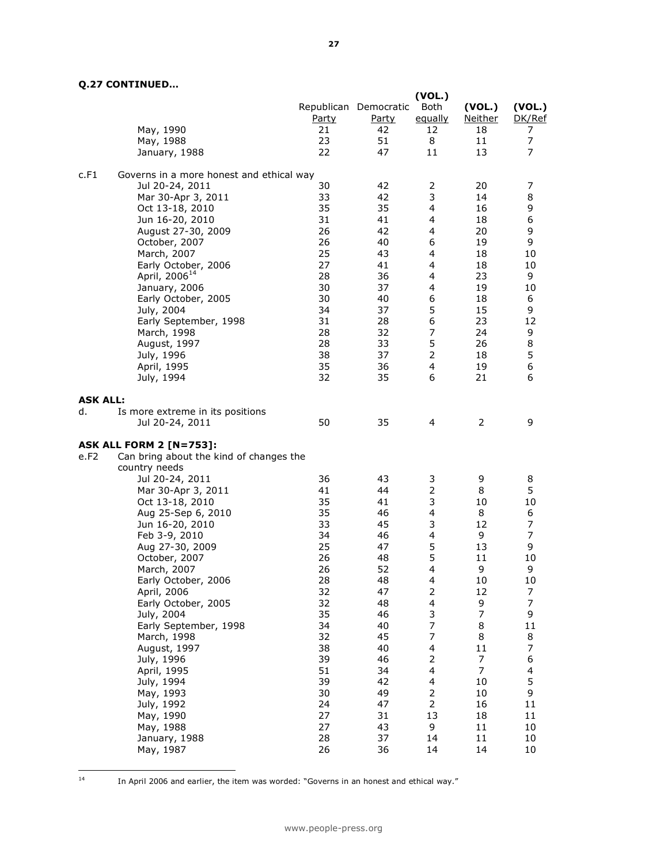# **Q.27 CONTINUED…**

|                 |                                          |                    |                                             | (VOL.)                |                                |                       |
|-----------------|------------------------------------------|--------------------|---------------------------------------------|-----------------------|--------------------------------|-----------------------|
|                 | May, 1990                                | <u>Party</u><br>21 | Republican Democratic<br><u>Party</u><br>42 | Both<br>equally<br>12 | (VOL.)<br><u>Neither</u><br>18 | (VOL.)<br>DK/Ref<br>7 |
|                 | May, 1988                                | 23                 | 51                                          | 8                     | 11                             | 7                     |
|                 | January, 1988                            | 22                 | 47                                          | 11                    | 13                             | 7                     |
| c.F1            | Governs in a more honest and ethical way |                    |                                             |                       |                                |                       |
|                 | Jul 20-24, 2011                          | 30                 | 42                                          | 2                     | 20                             | 7                     |
|                 | Mar 30-Apr 3, 2011                       | 33                 | 42                                          | 3                     | 14                             | 8                     |
|                 | Oct 13-18, 2010                          | 35                 | 35                                          | 4                     | 16                             | 9                     |
|                 | Jun 16-20, 2010                          | 31                 | 41                                          | 4                     | 18                             | 6                     |
|                 | August 27-30, 2009<br>October, 2007      | 26<br>26           | 42<br>40                                    | 4<br>6                | 20<br>19                       | 9<br>9                |
|                 | March, 2007                              | 25                 | 43                                          | 4                     | 18                             | 10                    |
|                 | Early October, 2006                      | 27                 | 41                                          | 4                     | 18                             | 10                    |
|                 | April, 2006 <sup>14</sup>                | 28                 | 36                                          | 4                     | 23                             | 9                     |
|                 | January, 2006                            | 30                 | 37                                          | 4                     | 19                             | 10                    |
|                 | Early October, 2005                      | 30                 | 40                                          | 6                     | 18                             | 6                     |
|                 | July, 2004                               | 34                 | 37                                          | 5                     | 15                             | 9                     |
|                 | Early September, 1998                    | 31                 | 28                                          | 6                     | 23                             | 12                    |
|                 | March, 1998                              | 28                 | 32                                          | $\overline{7}$        | 24                             | 9                     |
|                 | August, 1997                             | 28                 | 33                                          | 5                     | 26                             | 8                     |
|                 | July, 1996                               | 38                 | 37                                          | $\overline{2}$        | 18                             | 5                     |
|                 | April, 1995                              | 35                 | 36                                          | 4                     | 19                             | 6                     |
|                 | July, 1994                               | 32                 | 35                                          | 6                     | 21                             | 6                     |
| <b>ASK ALL:</b> |                                          |                    |                                             |                       |                                |                       |
| d.              | Is more extreme in its positions         |                    |                                             |                       |                                |                       |
|                 | Jul 20-24, 2011                          | 50                 | 35                                          | 4                     | $\overline{2}$                 | 9                     |
|                 | <b>ASK ALL FORM 2 [N=753]:</b>           |                    |                                             |                       |                                |                       |
| e.F2            | Can bring about the kind of changes the  |                    |                                             |                       |                                |                       |
|                 | country needs<br>Jul 20-24, 2011         | 36                 | 43                                          | 3                     | 9                              | 8                     |
|                 | Mar 30-Apr 3, 2011                       | 41                 | 44                                          | $\overline{2}$        | 8                              | 5                     |
|                 | Oct 13-18, 2010                          | 35                 | 41                                          | 3                     | 10                             | 10                    |
|                 | Aug 25-Sep 6, 2010                       | 35                 | 46                                          | 4                     | 8                              | 6                     |
|                 | Jun 16-20, 2010                          | 33                 | 45                                          | 3                     | 12                             | $\overline{7}$        |
|                 | Feb 3-9, 2010                            | 34                 | 46                                          | 4                     | 9                              | $\overline{7}$        |
|                 | Aug 27-30, 2009                          | 25                 | 47                                          | 5                     | 13                             | 9                     |
|                 | October, 2007                            | 26                 | 48                                          | 5                     | 11                             | 10                    |
|                 | March, 2007                              | 26                 | 52                                          | 4                     | 9                              | 9                     |
|                 | Early October, 2006                      | 28                 | 48                                          | 4                     | 10                             | 10                    |
|                 | April, 2006                              | 32                 | 47                                          | 2                     | 12                             | 7                     |
|                 | Early October, 2005                      | 32                 | 48                                          | 4                     | 9                              | $\overline{7}$        |
|                 | July, 2004                               | 35                 | 46                                          | 3<br>7                | $\overline{7}$                 | 9                     |
|                 | Early September, 1998                    | 34<br>32           | 40<br>45                                    | 7                     | 8<br>8                         | 11<br>8               |
|                 | March, 1998<br>August, 1997              | 38                 | 40                                          | 4                     | 11                             | 7                     |
|                 | July, 1996                               | 39                 | 46                                          | $\overline{2}$        | 7                              | 6                     |
|                 | April, 1995                              | 51                 | 34                                          | 4                     | 7                              | 4                     |
|                 | July, 1994                               | 39                 | 42                                          | 4                     | 10                             | 5                     |
|                 | May, 1993                                | 30                 | 49                                          | $\overline{2}$        | 10                             | 9                     |
|                 | July, 1992                               | 24                 | 47                                          | $\overline{2}$        | 16                             | 11                    |
|                 | May, 1990                                | 27                 | 31                                          | 13                    | 18                             | 11                    |
|                 | May, 1988                                | 27                 | 43                                          | 9                     | 11                             | 10                    |
|                 | January, 1988                            | 28                 | 37                                          | 14                    | 11                             | 10                    |
|                 | May, 1987                                | 26                 | 36                                          | 14                    | 14                             | 10                    |

In April 2006 and earlier, the item was worded: "Governs in an honest and ethical way."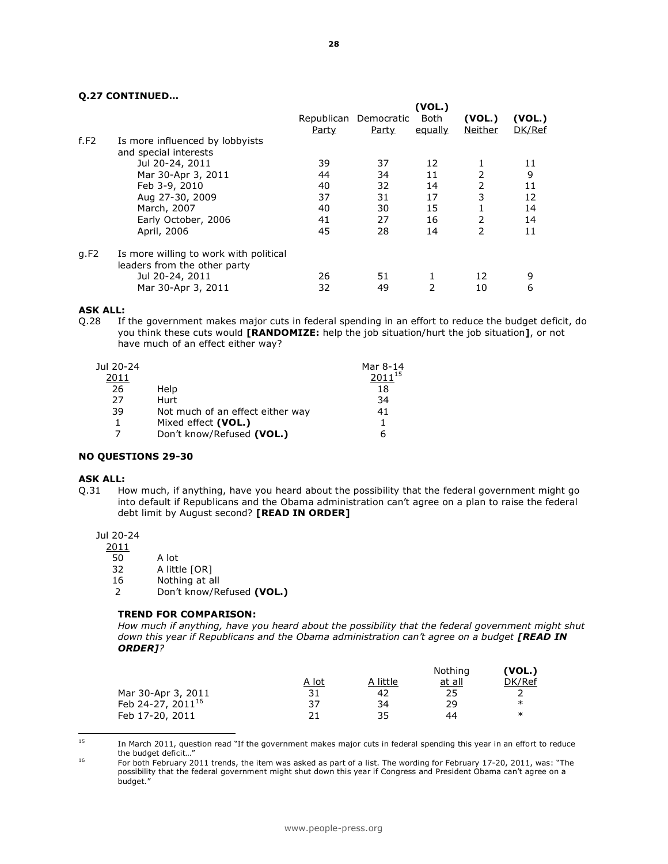#### **Q.27 CONTINUED…**

|      |                                        | Party | Republican Democratic<br>Party | (VOL.)<br>Both<br>equally | (VOL.)<br>Neither | (VOL.)<br>DK/Ref |
|------|----------------------------------------|-------|--------------------------------|---------------------------|-------------------|------------------|
| f.F2 | Is more influenced by lobbyists        |       |                                |                           |                   |                  |
|      | and special interests                  |       |                                |                           |                   |                  |
|      | Jul 20-24, 2011                        | 39    | 37                             | 12                        |                   | 11               |
|      | Mar 30-Apr 3, 2011                     | 44    | 34                             | 11                        | 2                 | 9                |
|      | Feb 3-9, 2010                          | 40    | 32                             | 14                        | 2                 | 11               |
|      | Aug 27-30, 2009                        | 37    | 31                             | 17                        | 3                 | 12               |
|      | March, 2007                            | 40    | 30                             | 15                        |                   | 14               |
|      | Early October, 2006                    | 41    | 27                             | 16                        | 2                 | 14               |
|      | April, 2006                            | 45    | 28                             | 14                        | C                 | 11               |
| q.F2 | Is more willing to work with political |       |                                |                           |                   |                  |
|      | leaders from the other party           |       |                                |                           |                   |                  |
|      | Jul 20-24, 2011                        | 26    | 51                             |                           | 12                | 9                |
|      | Mar 30-Apr 3, 2011                     | 32    | 49                             | 2                         | 10                | 6                |

#### **ASK ALL:**

Q.28 If the government makes major cuts in federal spending in an effort to reduce the budget deficit, do you think these cuts would **[RANDOMIZE:** help the job situation/hurt the job situation**]**, or not have much of an effect either way?

| Jul 20-24 |                                  | Mar 8-14    |
|-----------|----------------------------------|-------------|
| 2011      |                                  | $2011^{15}$ |
| 26        | Help                             | 18          |
| 27        | Hurt                             | 34          |
| 39        | Not much of an effect either way | 41          |
| 1         | Mixed effect (VOL.)              |             |
|           | Don't know/Refused (VOL.)        | 6           |

#### **NO QUESTIONS 29-30**

#### **ASK ALL:**

Q.31 How much, if anything, have you heard about the possibility that the federal government might go into default if Republicans and the Obama administration can't agree on a plan to raise the federal debt limit by August second? **[READ IN ORDER]**

Jul 20-24

 $\frac{2011}{50}$ 

- 50 A lot<br>32 A littl A little [OR]
- 16 Nothing at all
- 2 Don't know/Refused **(VOL.)**

#### **TREND FOR COMPARISON:**

*How much if anything, have you heard about the possibility that the federal government might shut*  down this year if Republicans and the Obama administration can't agree on a budget [READ IN *ORDER]?* 

|                               |              |          | Nothing       | (VOL.) |
|-------------------------------|--------------|----------|---------------|--------|
|                               | <u>A lot</u> | A little | <u>at all</u> | DK/Ref |
| Mar 30-Apr 3, 2011            | 31           | 42       | 25            |        |
| Feb 24-27, 2011 <sup>16</sup> | 37           | 34       | 29            | $\ast$ |
| Feb 17-20, 2011               | 21           | 35       | 44            | ж      |

15 <sup>15</sup> In March 2011, question read "If the government makes major cuts in federal spending this year in an effort to reduce the budget deficit...

<sup>&</sup>lt;sup>16</sup> For both February 2011 trends, the item was asked as part of a list. The wording for February 17-20, 2011, was: "The possibility that the federal government might shut down this year if Congress and President Obama can't agree on a budget."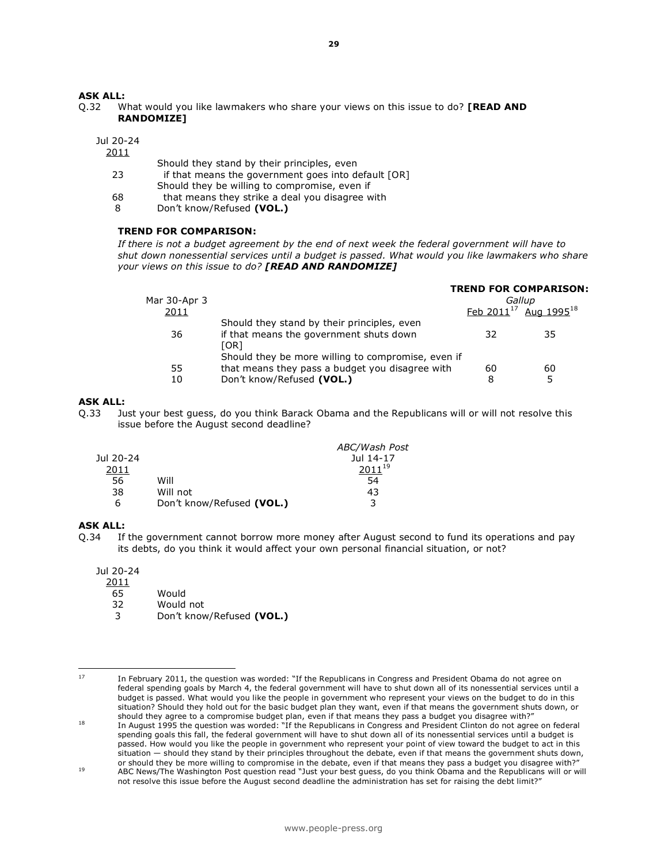#### **ASK ALL:**

Q.32 What would you like lawmakers who share your views on this issue to do? **[READ AND RANDOMIZE]** 

Jul 20-24

2011

- Should they stand by their principles, even
- 23 if that means the government goes into default [OR] Should they be willing to compromise, even if
- 68 that means they strike a deal you disagree with
- 8 Don't know/Refused **(VOL.)**

#### **TREND FOR COMPARISON:**

*If there is not a budget agreement by the end of next week the federal government will have to shut down nonessential services until a budget is passed. What would you like lawmakers who share your views on this issue to do? [READ AND RANDOMIZE]* 

|              |                                                    | <b>TREND FOR COMPARISON:</b> |                                        |  |
|--------------|----------------------------------------------------|------------------------------|----------------------------------------|--|
| Mar 30-Apr 3 |                                                    | Gallup                       |                                        |  |
| 2011         |                                                    |                              | Feb $2011^{17}$ Aug 1995 <sup>18</sup> |  |
|              | Should they stand by their principles, even        |                              |                                        |  |
| 36           | if that means the government shuts down            | 32                           | 35                                     |  |
|              | [OR]                                               |                              |                                        |  |
|              | Should they be more willing to compromise, even if |                              |                                        |  |
| 55           | that means they pass a budget you disagree with    | 60                           | 60                                     |  |
| 10           | Don't know/Refused (VOL.)                          | 8                            | 5                                      |  |
|              |                                                    |                              |                                        |  |

#### **ASK ALL:**

Q.33 Just your best guess, do you think Barack Obama and the Republicans will or will not resolve this issue before the August second deadline?

|           |                           | ABC/Wash Post |
|-----------|---------------------------|---------------|
| Jul 20-24 |                           | Jul 14-17     |
| 2011      |                           | $2011^{19}$   |
| 56        | Will                      | 54            |
| 38        | Will not                  | 43            |
| 6         | Don't know/Refused (VOL.) | 3             |

#### **ASK ALL:**

Q.34 If the government cannot borrow more money after August second to fund its operations and pay its debts, do you think it would affect your own personal financial situation, or not?

Jul 20-24

- 2011
- 65 Would
- 32 Would not
- 3 Don't know/Refused **(VOL.)**

<sup>17</sup> In February 2011, the question was worded: "If the Republicans in Congress and President Obama do not agree on federal spending goals by March 4, the federal government will have to shut down all of its nonessential services until a budget is passed. What would you like the people in government who represent your views on the budget to do in this situation? Should they hold out for the basic budget plan they want, even if that means the government shuts down, or should they agree to a compromise budget plan, even if that means they pass a budget you disagree with?"

<sup>18</sup> In August 1995 the question was worded: "If the Republicans in Congress and President Clinton do not agree on federal spending goals this fall, the federal government will have to shut down all of its nonessential services until a budget is passed. How would you like the people in government who represent your point of view toward the budget to act in this situation — should they stand by their principles throughout the debate, even if that means the government shuts down, or should they be more willing to compromise in the debate, even if that means they pass a budget you disagree with?"

<sup>19</sup> ABC News/The Washington Post question read "Just your best guess, do you think Obama and the Republicans will or will not resolve this issue before the August second deadline the administration has set for raising the debt limit?"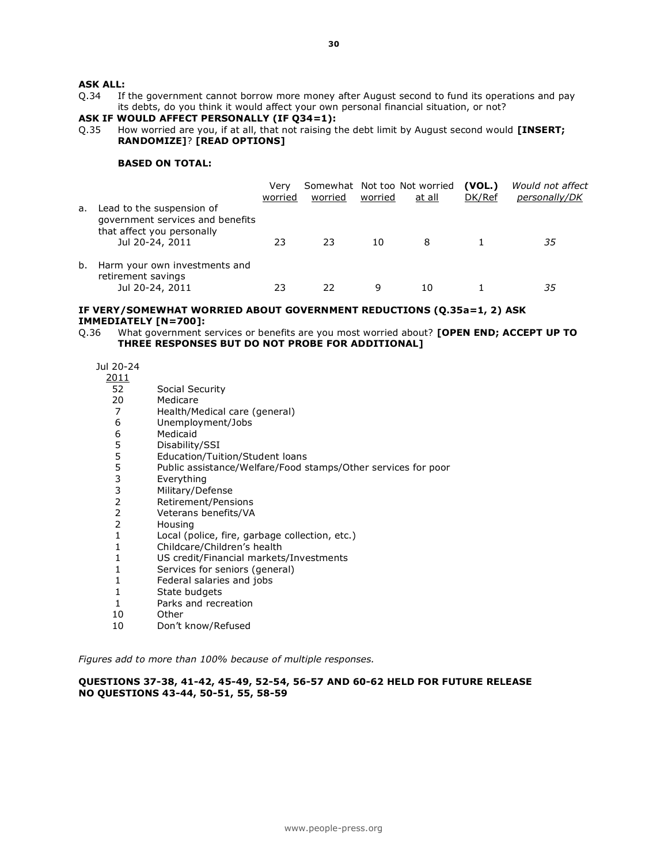#### **ASK ALL:**

Q.34 If the government cannot borrow more money after August second to fund its operations and pay its debts, do you think it would affect your own personal financial situation, or not?

#### **ASK IF WOULD AFFECT PERSONALLY (IF Q34=1):**

Q.35 How worried are you, if at all, that not raising the debt limit by August second would **[INSERT; RANDOMIZE]**? **[READ OPTIONS]**

#### **BASED ON TOTAL:**

|    |                                                                                                                | Verv<br>worried | worried | worried | Somewhat Not too Not worried<br>at all | (VOL.)<br>DK/Ref | Would not affect<br>personally/DK |
|----|----------------------------------------------------------------------------------------------------------------|-----------------|---------|---------|----------------------------------------|------------------|-----------------------------------|
| а. | Lead to the suspension of<br>government services and benefits<br>that affect you personally<br>Jul 20-24, 2011 | 23              | 23      | 10      | 8                                      |                  | 35                                |
| b. | Harm your own investments and<br>retirement savings<br>Jul 20-24, 2011                                         |                 | フフ      | 9       | 10                                     |                  | 35                                |

#### **IF VERY/SOMEWHAT WORRIED ABOUT GOVERNMENT REDUCTIONS (Q.35a=1, 2) ASK IMMEDIATELY [N=700]:**

Q.36 What government services or benefits are you most worried about? **[OPEN END; ACCEPT UP TO THREE RESPONSES BUT DO NOT PROBE FOR ADDITIONAL]** 

Jul 20-24

- 2011
- 52 Social Security
- 20 Medicare
- 7 Health/Medical care (general)
- 6 Unemployment/Jobs
- 6 Medicaid<br>5 Disability
- 5 Disability/SSI<br>5 Education/Tuit
- 5 Education/Tuition/Student loans<br>5 Public assistance/Welfare/Food s
- Public assistance/Welfare/Food stamps/Other services for poor
- 3 Everything
- 3 Military/Defense
- 2 Retirement/Pensions
- 2 Veterans benefits/VA
- 2 Housing
- 1 Local (police, fire, garbage collection, etc.)
- 1 Childcare/Children's health
- 1 US credit/Financial markets/Investments
- 1 Services for seniors (general)
- 1 Federal salaries and jobs
- 1 State budgets
- 1 Parks and recreation
- 10 Other
- 10 Don't know/Refused

*Figures add to more than 100% because of multiple responses.*

#### **QUESTIONS 37-38, 41-42, 45-49, 52-54, 56-57 AND 60-62 HELD FOR FUTURE RELEASE NO QUESTIONS 43-44, 50-51, 55, 58-59**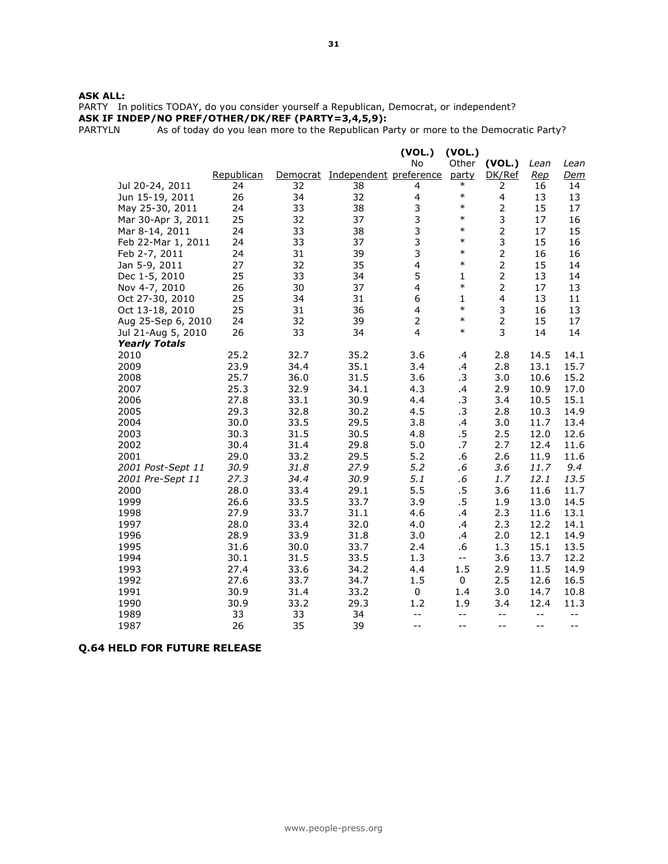PARTY In politics TODAY, do you consider yourself a Republican, Democrat, or independent? **ASK IF INDEP/NO PREF/OTHER/DK/REF (PARTY=3,4,5,9):**

PARTYLN As of today do you lean more to the Republican Party or more to the Democratic Party?

|                                            |              |              |                        | (VOL.)              | (VOL.)                                        |                                               |              |              |
|--------------------------------------------|--------------|--------------|------------------------|---------------------|-----------------------------------------------|-----------------------------------------------|--------------|--------------|
|                                            |              |              |                        | <b>No</b>           | Other                                         | (VOL.)                                        | Lean         | Lean         |
|                                            | Republican   | Democrat     | Independent preference |                     | party                                         | DK/Ref                                        | <u>Rep</u>   | <u>Dem</u>   |
| Jul 20-24, 2011                            | 24           | 32           | 38                     | 4                   | $\ast$                                        | 2                                             | 16           | 14           |
| Jun 15-19, 2011                            | 26           | 34           | 32                     | 4                   | $\ast$                                        | $\overline{4}$                                | 13           | 13           |
| May 25-30, 2011                            | 24           | 33           | 38                     | 3                   | $\ast$                                        | $\overline{2}$                                | 15           | 17           |
| Mar 30-Apr 3, 2011                         | 25           | 32           | 37                     | 3                   | $\ast$                                        | 3                                             | 17           | 16           |
| Mar 8-14, 2011                             | 24           | 33           | 38                     | 3                   | $\ast$                                        | $\mathbf 2$                                   | 17           | 15           |
| Feb 22-Mar 1, 2011                         | 24           | 33           | 37                     | 3                   | $\ast$                                        | 3                                             | 15           | 16           |
| Feb 2-7, 2011                              | 24           | 31           | 39                     | 3                   | $\ast$                                        | $\overline{2}$                                | 16           | 16           |
| Jan 5-9, 2011                              | 27           | 32           | 35                     | 4                   | $\ast$                                        | $\overline{c}$                                | 15           | 14           |
| Dec 1-5, 2010                              | 25           | 33           | 34                     | 5                   | $\mathbf{1}$<br>$\ast$                        | $\mathbf 2$                                   | 13           | 14           |
| Nov 4-7, 2010                              | 26           | 30           | 37                     | 4                   |                                               | $\overline{2}$                                | 17           | 13           |
| Oct 27-30, 2010                            | 25           | 34           | 31                     | 6                   | $\mathbf{1}$<br>$\ast$                        | $\overline{\mathbf{4}}$                       | 13           | 11           |
| Oct 13-18, 2010                            | 25           | 31           | 36                     | 4                   | $\ast$                                        | 3<br>$\overline{2}$                           | 16           | 13           |
| Aug 25-Sep 6, 2010                         | 24<br>26     | 32<br>33     | 39<br>34               | $\overline{2}$<br>4 | $\ast$                                        | 3                                             | 15<br>14     | 17<br>14     |
| Jul 21-Aug 5, 2010<br><b>Yearly Totals</b> |              |              |                        |                     |                                               |                                               |              |              |
| 2010                                       | 25.2         | 32.7         | 35.2                   | 3.6                 | $\cdot$                                       | 2.8                                           | 14.5         | 14.1         |
| 2009                                       | 23.9         | 34.4         | 35.1                   | 3.4                 | $\cdot$                                       | 2.8                                           | 13.1         | 15.7         |
| 2008                                       | 25.7         | 36.0         | 31.5                   | 3.6                 | .3                                            | 3.0                                           | 10.6         | 15.2         |
| 2007                                       | 25.3         | 32.9         | 34.1                   | 4.3                 | .4                                            | 2.9                                           | 10.9         | 17.0         |
| 2006                                       | 27.8         | 33.1         | 30.9                   | 4.4                 | $\cdot$ 3                                     | 3.4                                           | 10.5         | 15.1         |
| 2005                                       | 29.3         | 32.8         | 30.2                   | 4.5                 | .3                                            | 2.8                                           | 10.3         | 14.9         |
| 2004                                       | 30.0         | 33.5         | 29.5                   | 3.8                 | .4                                            | 3.0                                           | 11.7         | 13.4         |
| 2003                                       | 30.3         | 31.5         | 30.5                   | 4.8                 | .5                                            | 2.5                                           | 12.0         | 12.6         |
| 2002                                       | 30.4         | 31.4         | 29.8                   | 5.0                 | .7                                            | 2.7                                           | 12.4         | 11.6         |
| 2001                                       | 29.0         | 33.2         | 29.5                   | 5.2                 | .6                                            | 2.6                                           | 11.9         | 11.6         |
| 2001 Post-Sept 11                          | 30.9         | 31.8         | 27.9                   | 5.2                 | $.6\,$                                        | 3.6                                           | 11.7         | 9.4          |
| 2001 Pre-Sept 11                           | 27.3         | 34.4         | 30.9                   | 5.1                 | .6                                            | 1.7                                           | 12.1         | 13.5         |
| 2000                                       | 28.0         | 33.4         | 29.1                   | 5.5                 | .5                                            | 3.6                                           | 11.6         | 11.7         |
| 1999                                       | 26.6         | 33.5         | 33.7                   | 3.9                 | .5                                            | 1.9                                           | 13.0         | 14.5         |
| 1998                                       | 27.9         | 33.7         | 31.1                   | 4.6                 | .4                                            | 2.3                                           | 11.6         | 13.1         |
| 1997                                       | 28.0         | 33.4         | 32.0                   | 4.0                 | .4                                            | 2.3                                           | 12.2         | 14.1         |
| 1996                                       | 28.9         | 33.9         | 31.8                   | 3.0                 | .4                                            | 2.0                                           | 12.1         | 14.9         |
| 1995                                       | 31.6         | 30.0         | 33.7                   | 2.4                 | .6                                            | 1.3                                           | 15.1         | 13.5         |
| 1994                                       | 30.1         | 31.5         | 33.5                   | 1.3                 | $- -$                                         | 3.6                                           | 13.7         | 12.2         |
| 1993                                       | 27.4         | 33.6         | 34.2                   | 4.4                 | 1.5                                           | 2.9                                           | 11.5         | 14.9         |
| 1992<br>1991                               | 27.6<br>30.9 | 33.7         | 34.7                   | 1.5                 | $\mathbf 0$                                   | 2.5                                           | 12.6         | 16.5         |
| 1990                                       | 30.9         | 31.4<br>33.2 | 33.2<br>29.3           | 0<br>1.2            | 1.4<br>1.9                                    | 3.0<br>3.4                                    | 14.7<br>12.4 | 10.8<br>11.3 |
| 1989                                       | 33           | 33           | 34                     | $- -$               | $\mathord{\hspace{1pt}\text{--}\hspace{1pt}}$ | $\mathord{\hspace{1pt}\text{--}\hspace{1pt}}$ | $ -$         | $-$          |
| 1987                                       | 26           | 35           | 39                     | $-$                 | $- -$                                         | --                                            | $- -$        | --           |
|                                            |              |              |                        |                     |                                               |                                               |              |              |

### **Q.64 HELD FOR FUTURE RELEASE**